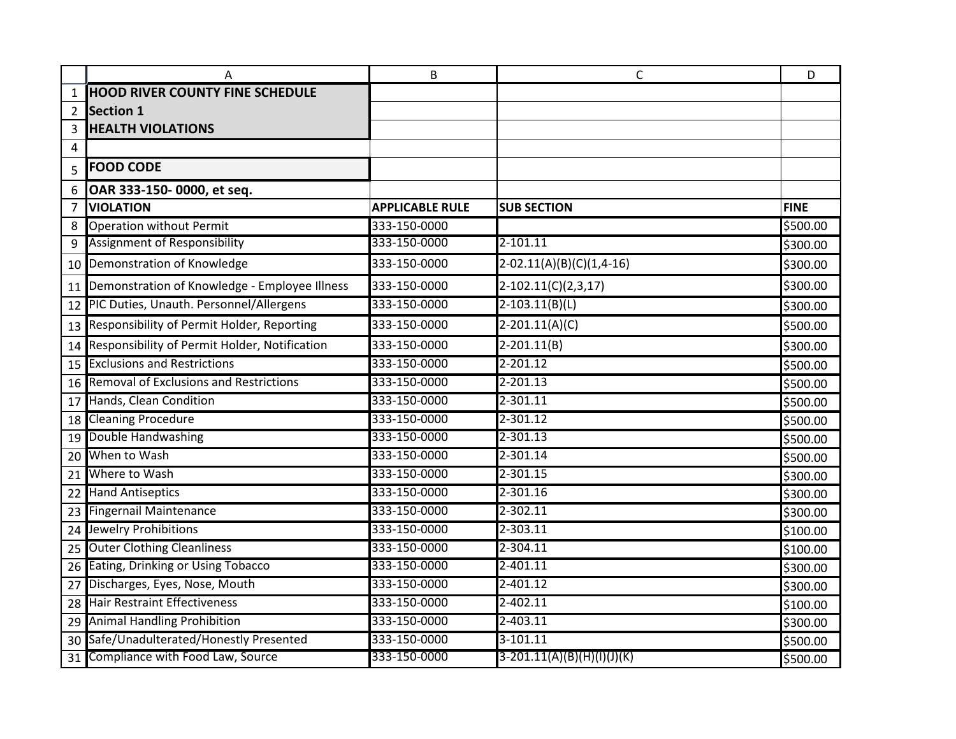|                | A                                             | B                      | C                            | D           |
|----------------|-----------------------------------------------|------------------------|------------------------------|-------------|
| 1              | <b>HOOD RIVER COUNTY FINE SCHEDULE</b>        |                        |                              |             |
| $\overline{2}$ | <b>Section 1</b>                              |                        |                              |             |
| 3              | <b>HEALTH VIOLATIONS</b>                      |                        |                              |             |
| 4              |                                               |                        |                              |             |
| 5              | <b>FOOD CODE</b>                              |                        |                              |             |
| 6              | OAR 333-150-0000, et seq.                     |                        |                              |             |
| $\overline{7}$ | <b>VIOLATION</b>                              | <b>APPLICABLE RULE</b> | <b>SUB SECTION</b>           | <b>FINE</b> |
| 8              | Operation without Permit                      | 333-150-0000           |                              | \$500.00    |
| 9              | Assignment of Responsibility                  | 333-150-0000           | $2 - 101.11$                 | \$300.00    |
| 10             | Demonstration of Knowledge                    | 333-150-0000           | 2-02.11(A)(B)(C)(1,4-16)     | \$300.00    |
| 11             | Demonstration of Knowledge - Employee Illness | 333-150-0000           | $2-102.11(C)(2,3,17)$        | \$300.00    |
| 12             | PIC Duties, Unauth. Personnel/Allergens       | 333-150-0000           | $2 - 103.11(B)(L)$           | \$300.00    |
| 13             | Responsibility of Permit Holder, Reporting    | 333-150-0000           | $2-201.11(A)(C)$             | \$500.00    |
| 14             | Responsibility of Permit Holder, Notification | 333-150-0000           | $2 - 201.11(B)$              | \$300.00    |
| 15             | <b>Exclusions and Restrictions</b>            | 333-150-0000           | $2 - 201.12$                 | \$500.00    |
| 16             | Removal of Exclusions and Restrictions        | 333-150-0000           | $2 - 201.13$                 | \$500.00    |
| 17             | Hands, Clean Condition                        | 333-150-0000           | $2 - 301.11$                 | \$500.00    |
| 18             | <b>Cleaning Procedure</b>                     | 333-150-0000           | $2 - 301.12$                 | \$500.00    |
| 19             | <b>Double Handwashing</b>                     | 333-150-0000           | $2 - 301.13$                 | \$500.00    |
| 20             | When to Wash                                  | 333-150-0000           | $2 - 301.14$                 | \$500.00    |
| 21             | Where to Wash                                 | 333-150-0000           | 2-301.15                     | \$300.00    |
| 22             | <b>Hand Antiseptics</b>                       | 333-150-0000           | $2 - 301.16$                 | \$300.00    |
| 23             | <b>Fingernail Maintenance</b>                 | 333-150-0000           | $2 - 302.11$                 | \$300.00    |
| 24             | Jewelry Prohibitions                          | 333-150-0000           | 2-303.11                     | \$100.00    |
| 25             | <b>Outer Clothing Cleanliness</b>             | 333-150-0000           | 2-304.11                     | \$100.00    |
| 26             | Eating, Drinking or Using Tobacco             | 333-150-0000           | $2 - 401.11$                 | \$300.00    |
| 27             | Discharges, Eyes, Nose, Mouth                 | 333-150-0000           | $2 - 401.12$                 | \$300.00    |
| 28             | <b>Hair Restraint Effectiveness</b>           | 333-150-0000           | 2-402.11                     | \$100.00    |
| 29             | <b>Animal Handling Prohibition</b>            | 333-150-0000           | $2 - 403.11$                 | \$300.00    |
| 30             | Safe/Unadulterated/Honestly Presented         | 333-150-0000           | $3 - 101.11$                 | \$500.00    |
| 31             | Compliance with Food Law, Source              | 333-150-0000           | $3-201.11(A)(B)(H)(I)(J)(K)$ | \$500.00    |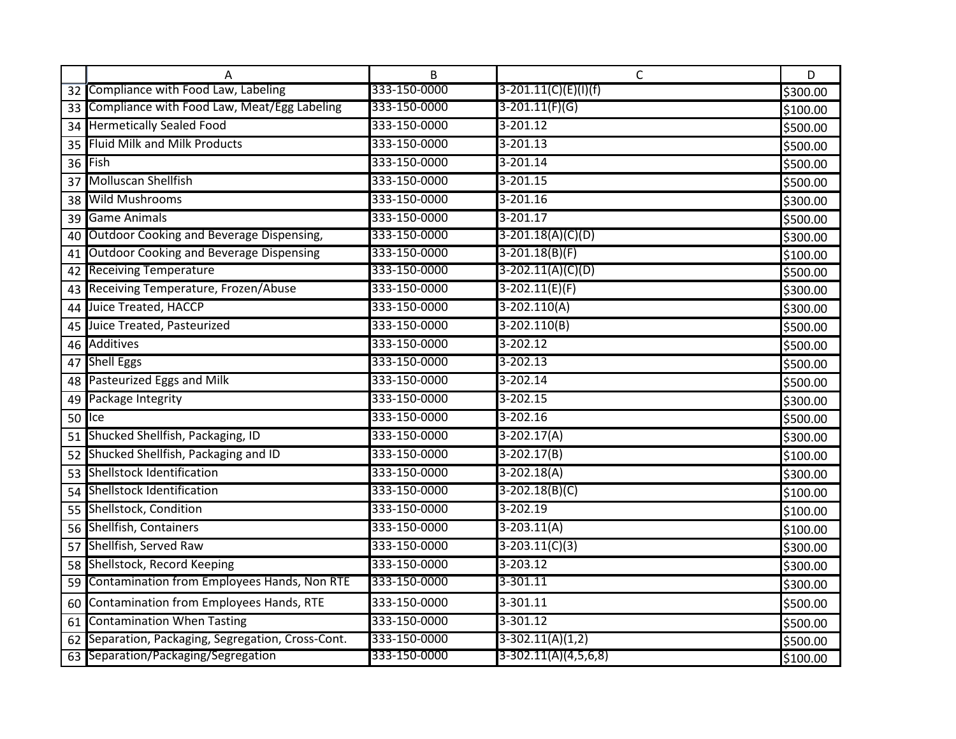|    | Α                                               | B            | C                      | D        |
|----|-------------------------------------------------|--------------|------------------------|----------|
| 32 | Compliance with Food Law, Labeling              | 333-150-0000 | $3-201.11(C)(E)(I)(f)$ | \$300.00 |
| 33 | Compliance with Food Law, Meat/Egg Labeling     | 333-150-0000 | $3-201.11(F)(G)$       | \$100.00 |
| 34 | <b>Hermetically Sealed Food</b>                 | 333-150-0000 | $3 - 201.12$           | \$500.00 |
| 35 | <b>Fluid Milk and Milk Products</b>             | 333-150-0000 | $3 - 201.13$           | \$500.00 |
| 36 | Fish                                            | 333-150-0000 | $3 - 201.14$           | \$500.00 |
| 37 | <b>Molluscan Shellfish</b>                      | 333-150-0000 | $3 - 201.15$           | \$500.00 |
| 38 | <b>Wild Mushrooms</b>                           | 333-150-0000 | $3 - 201.16$           | \$300.00 |
| 39 | <b>Game Animals</b>                             | 333-150-0000 | $3 - 201.17$           | \$500.00 |
| 40 | Outdoor Cooking and Beverage Dispensing,        | 333-150-0000 | 3-201.18(A)(C)(D)      | \$300.00 |
| 41 | <b>Outdoor Cooking and Beverage Dispensing</b>  | 333-150-0000 | $3-201.18(B)(F)$       | \$100.00 |
| 42 | <b>Receiving Temperature</b>                    | 333-150-0000 | $3-202.11(A)(C)(D)$    | \$500.00 |
| 43 | Receiving Temperature, Frozen/Abuse             | 333-150-0000 | $3 - 202.11(E)(F)$     | \$300.00 |
| 44 | Juice Treated, HACCP                            | 333-150-0000 | $3 - 202.110(A)$       | \$300.00 |
| 45 | Juice Treated, Pasteurized                      | 333-150-0000 | $3 - 202.110(B)$       | \$500.00 |
| 46 | Additives                                       | 333-150-0000 | 3-202.12               | \$500.00 |
| 47 | <b>Shell Eggs</b>                               | 333-150-0000 | $3 - 202.13$           | \$500.00 |
| 48 | Pasteurized Eggs and Milk                       | 333-150-0000 | $3 - 202.14$           | \$500.00 |
| 49 | Package Integrity                               | 333-150-0000 | 3-202.15               | \$300.00 |
| 50 | lce                                             | 333-150-0000 | $3 - 202.16$           | \$500.00 |
| 51 | Shucked Shellfish, Packaging, ID                | 333-150-0000 | $3-202.17(A)$          | \$300.00 |
| 52 | Shucked Shellfish, Packaging and ID             | 333-150-0000 | $3-202.17(B)$          | \$100.00 |
| 53 | <b>Shellstock Identification</b>                | 333-150-0000 | $3 - 202.18(A)$        | \$300.00 |
| 54 | <b>Shellstock Identification</b>                | 333-150-0000 | $3-202.18(B)(C)$       | \$100.00 |
| 55 | <b>Shellstock, Condition</b>                    | 333-150-0000 | $3 - 202.19$           | \$100.00 |
| 56 | Shellfish, Containers                           | 333-150-0000 | $3 - 203.11(A)$        | \$100.00 |
| 57 | Shellfish, Served Raw                           | 333-150-0000 | $3 - 203.11(C)(3)$     | \$300.00 |
| 58 | Shellstock, Record Keeping                      | 333-150-0000 | $3 - 203.12$           | \$300.00 |
| 59 | Contamination from Employees Hands, Non RTE     | 333-150-0000 | 3-301.11               | \$300.00 |
| 60 | Contamination from Employees Hands, RTE         | 333-150-0000 | 3-301.11               | \$500.00 |
| 61 | <b>Contamination When Tasting</b>               | 333-150-0000 | $3 - 301.12$           | \$500.00 |
| 62 | Separation, Packaging, Segregation, Cross-Cont. | 333-150-0000 | $3-302.11(A)(1,2)$     | \$500.00 |
| 63 | Separation/Packaging/Segregation                | 333-150-0000 | $3-302.11(A)(4,5,6,8)$ | \$100.00 |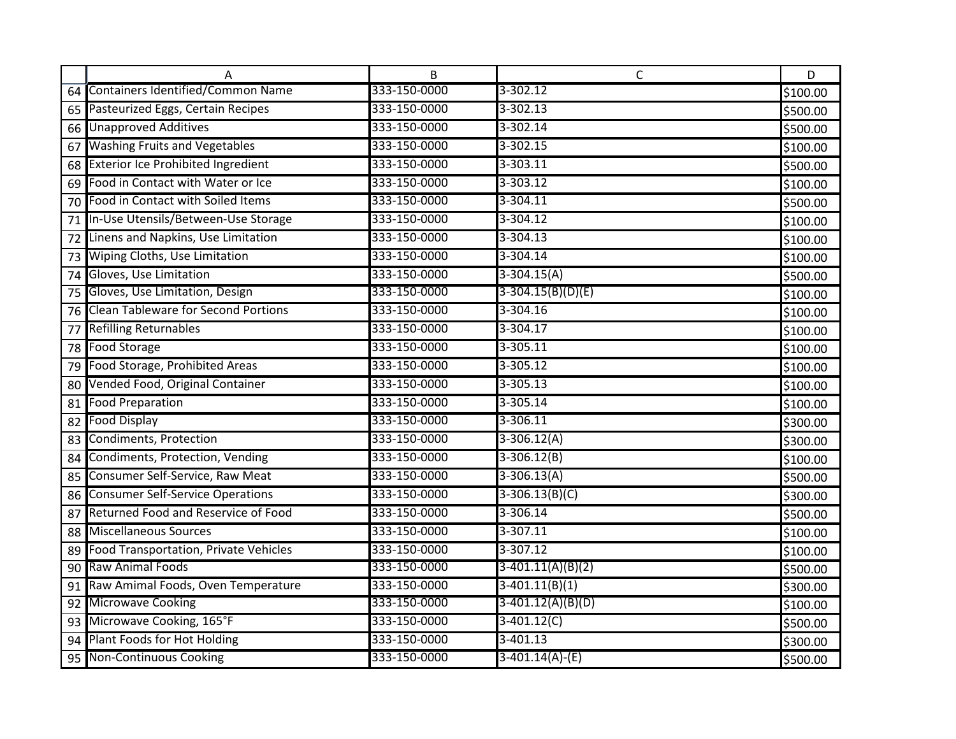|    | A                                          | B            | C                   | D        |
|----|--------------------------------------------|--------------|---------------------|----------|
| 64 | Containers Identified/Common Name          | 333-150-0000 | $3 - 302.12$        | \$100.00 |
| 65 | Pasteurized Eggs, Certain Recipes          | 333-150-0000 | $3 - 302.13$        | \$500.00 |
| 66 | <b>Unapproved Additives</b>                | 333-150-0000 | 3-302.14            | \$500.00 |
| 67 | <b>Washing Fruits and Vegetables</b>       | 333-150-0000 | $3 - 302.15$        | \$100.00 |
| 68 | <b>Exterior Ice Prohibited Ingredient</b>  | 333-150-0000 | 3-303.11            | \$500.00 |
| 69 | Food in Contact with Water or Ice          | 333-150-0000 | $3 - 303.12$        | \$100.00 |
| 70 | Food in Contact with Soiled Items          | 333-150-0000 | $3 - 304.11$        | \$500.00 |
| 71 | In-Use Utensils/Between-Use Storage        | 333-150-0000 | $3 - 304.12$        | \$100.00 |
| 72 | Linens and Napkins, Use Limitation         | 333-150-0000 | $3 - 304.13$        | \$100.00 |
| 73 | Wiping Cloths, Use Limitation              | 333-150-0000 | 3-304.14            | \$100.00 |
| 74 | Gloves, Use Limitation                     | 333-150-0000 | $3-304.15(A)$       | \$500.00 |
| 75 | Gloves, Use Limitation, Design             | 333-150-0000 | $3-304.15(B)(D)(E)$ | \$100.00 |
| 76 | <b>Clean Tableware for Second Portions</b> | 333-150-0000 | 3-304.16            | \$100.00 |
| 77 | <b>Refilling Returnables</b>               | 333-150-0000 | $3 - 304.17$        | \$100.00 |
|    | 78 Food Storage                            | 333-150-0000 | $3 - 305.11$        | \$100.00 |
| 79 | Food Storage, Prohibited Areas             | 333-150-0000 | $3 - 305.12$        | \$100.00 |
| 80 | Vended Food, Original Container            | 333-150-0000 | $3 - 305.13$        | \$100.00 |
| 81 | <b>Food Preparation</b>                    | 333-150-0000 | $3 - 305.14$        | \$100.00 |
| 82 | <b>Food Display</b>                        | 333-150-0000 | $3 - 306.11$        | \$300.00 |
| 83 | <b>Condiments, Protection</b>              | 333-150-0000 | $3-306.12(A)$       | \$300.00 |
| 84 | Condiments, Protection, Vending            | 333-150-0000 | $3-306.12(B)$       | \$100.00 |
| 85 | Consumer Self-Service, Raw Meat            | 333-150-0000 | $3-306.13(A)$       | \$500.00 |
| 86 | <b>Consumer Self-Service Operations</b>    | 333-150-0000 | $3-306.13(B)(C)$    | \$300.00 |
| 87 | Returned Food and Reservice of Food        | 333-150-0000 | 3-306.14            | \$500.00 |
| 88 | <b>Miscellaneous Sources</b>               | 333-150-0000 | $3 - 307.11$        | \$100.00 |
| 89 | Food Transportation, Private Vehicles      | 333-150-0000 | $3 - 307.12$        | \$100.00 |
| 90 | Raw Animal Foods                           | 333-150-0000 | $3-401.11(A)(B)(2)$ | 5500.00  |
| 91 | Raw Amimal Foods, Oven Temperature         | 333-150-0000 | $3-401.11(B)(1)$    | \$300.00 |
| 92 | Microwave Cooking                          | 333-150-0000 | $3-401.12(A)(B)(D)$ | \$100.00 |
| 93 | Microwave Cooking, 165°F                   | 333-150-0000 | $3 - 401.12(C)$     | \$500.00 |
| 94 | Plant Foods for Hot Holding                | 333-150-0000 | $3-401.13$          | \$300.00 |
| 95 | Non-Continuous Cooking                     | 333-150-0000 | $3-401.14(A)$ -(E)  | \$500.00 |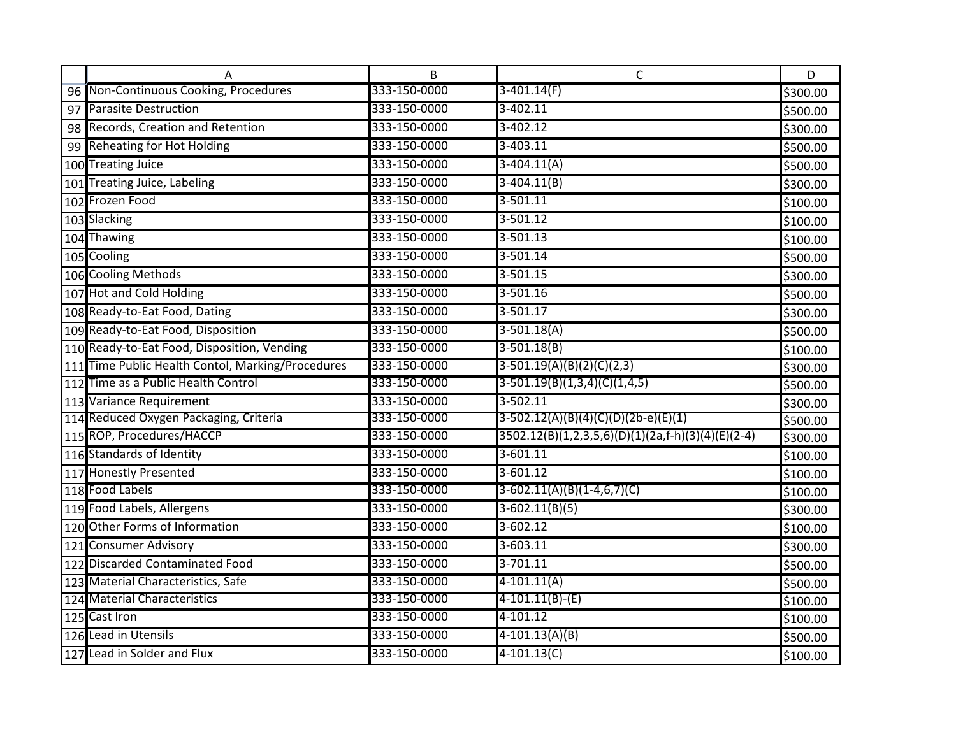|    | A                                                 | B            | C                                                   | D        |
|----|---------------------------------------------------|--------------|-----------------------------------------------------|----------|
| 96 | Non-Continuous Cooking, Procedures                | 333-150-0000 | $3 - 401.14(F)$                                     | \$300.00 |
| 97 | <b>Parasite Destruction</b>                       | 333-150-0000 | 3-402.11                                            | \$500.00 |
| 98 | Records, Creation and Retention                   | 333-150-0000 | $3 - 402.12$                                        | \$300.00 |
| 99 | <b>Reheating for Hot Holding</b>                  | 333-150-0000 | $3 - 403.11$                                        | \$500.00 |
|    | 100 Treating Juice                                | 333-150-0000 | $3-404.11(A)$                                       | \$500.00 |
|    | 101 Treating Juice, Labeling                      | 333-150-0000 | $3-404.11(B)$                                       | \$300.00 |
|    | 102 Frozen Food                                   | 333-150-0000 | $3 - 501.11$                                        | \$100.00 |
|    | 103 Slacking                                      | 333-150-0000 | $3 - 501.12$                                        | \$100.00 |
|    | 104 Thawing                                       | 333-150-0000 | $3 - 501.13$                                        | \$100.00 |
|    | 105 Cooling                                       | 333-150-0000 | $3 - 501.14$                                        | \$500.00 |
|    | 106 Cooling Methods                               | 333-150-0000 | $3 - 501.15$                                        | \$300.00 |
|    | 107 Hot and Cold Holding                          | 333-150-0000 | $3 - 501.16$                                        | \$500.00 |
|    | 108 Ready-to-Eat Food, Dating                     | 333-150-0000 | $3 - 501.17$                                        | \$300.00 |
|    | 109 Ready-to-Eat Food, Disposition                | 333-150-0000 | $3 - 501.18(A)$                                     | \$500.00 |
|    | 110 Ready-to-Eat Food, Disposition, Vending       | 333-150-0000 | $3-501.18(B)$                                       | \$100.00 |
|    | 111 Time Public Health Contol, Marking/Procedures | 333-150-0000 | $3-501.19(A)(B)(2)(C)(2,3)$                         | 5300.00  |
|    | 112 Time as a Public Health Control               | 333-150-0000 | $3-501.19(B)(1,3,4)(C)(1,4,5)$                      | \$500.00 |
|    | 113 Variance Requirement                          | 333-150-0000 | $3 - 502.11$                                        | \$300.00 |
|    | 114 Reduced Oxygen Packaging, Criteria            | 333-150-0000 | 3-502.12(A)(B)(4)(C)(D)(2b-e)(E)(1)                 | \$500.00 |
|    | 115 ROP, Procedures/HACCP                         | 333-150-0000 | $3502.12(B)(1,2,3,5,6)(D)(1)(2a,f-h)(3)(4)(E)(2-4)$ | \$300.00 |
|    | 116 Standards of Identity                         | 333-150-0000 | $3 - 601.11$                                        | \$100.00 |
|    | 117 Honestly Presented                            | 333-150-0000 | $3 - 601.12$                                        | \$100.00 |
|    | 118 Food Labels                                   | 333-150-0000 | $3-602.11(A)(B)(1-4,6,7)(C)$                        | \$100.00 |
|    | 119 Food Labels, Allergens                        | 333-150-0000 | $3-602.11(B)(5)$                                    | \$300.00 |
|    | 120 Other Forms of Information                    | 333-150-0000 | 3-602.12                                            | \$100.00 |
|    | 121 Consumer Advisory                             | 333-150-0000 | $3 - 603.11$                                        | \$300.00 |
|    | 122 Discarded Contaminated Food                   | 333-150-0000 | $3 - 701.11$                                        | \$500.00 |
|    | 123 Material Characteristics, Safe                | 333-150-0000 | $4 - 101.11(A)$                                     | \$500.00 |
|    | 124 Material Characteristics                      | 333-150-0000 | $4-101.11(B)-(E)$                                   | \$100.00 |
|    | 125 Cast Iron                                     | 333-150-0000 | $4 - 101.12$                                        | \$100.00 |
|    | 126 Lead in Utensils                              | 333-150-0000 | $4-101.13(A)(B)$                                    | \$500.00 |
|    | 127 Lead in Solder and Flux                       | 333-150-0000 | $4 - 101.13(C)$                                     | \$100.00 |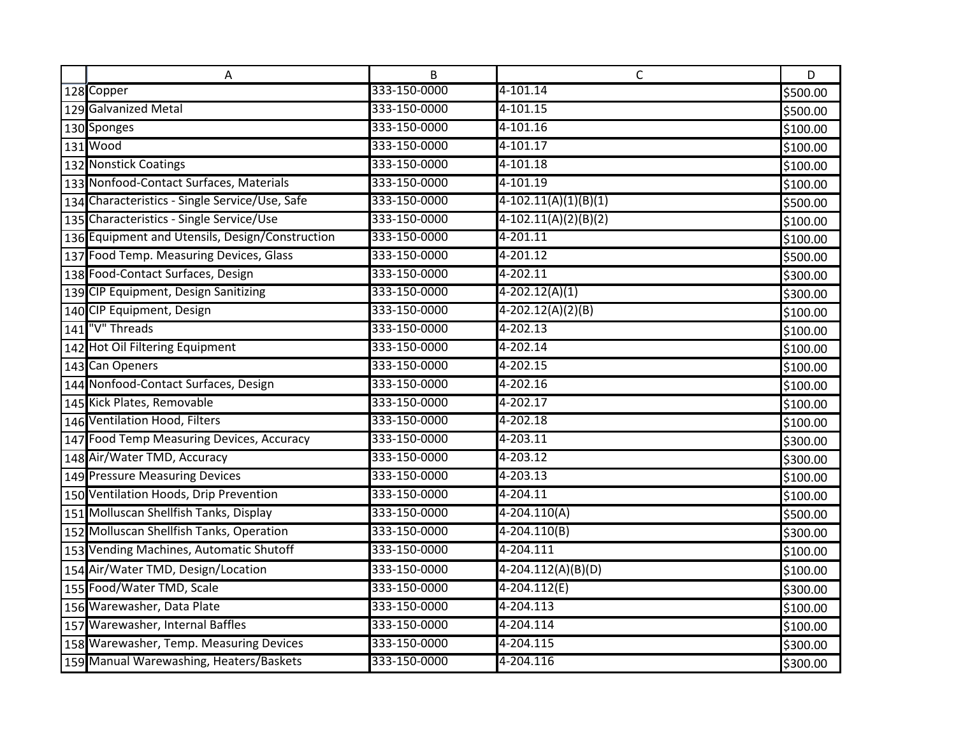| Α                                               | B            | С                      | D        |
|-------------------------------------------------|--------------|------------------------|----------|
| 128 Copper                                      | 333-150-0000 | $4 - 101.14$           | \$500.00 |
| 129 Galvanized Metal                            | 333-150-0000 | $4 - 101.15$           | \$500.00 |
| 130 Sponges                                     | 333-150-0000 | 4-101.16               | \$100.00 |
| 131 Wood                                        | 333-150-0000 | $4 - 101.17$           | \$100.00 |
| <b>132 Nonstick Coatings</b>                    | 333-150-0000 | $4 - 101.18$           | \$100.00 |
| 133 Nonfood-Contact Surfaces, Materials         | 333-150-0000 | 4-101.19               | \$100.00 |
| 134 Characteristics - Single Service/Use, Safe  | 333-150-0000 | $4-102.11(A)(1)(B)(1)$ | \$500.00 |
| 135 Characteristics - Single Service/Use        | 333-150-0000 | $4-102.11(A)(2)(B)(2)$ | \$100.00 |
| 136 Equipment and Utensils, Design/Construction | 333-150-0000 | 4-201.11               | \$100.00 |
| 137 Food Temp. Measuring Devices, Glass         | 333-150-0000 | 4-201.12               | \$500.00 |
| 138 Food-Contact Surfaces, Design               | 333-150-0000 | 4-202.11               | \$300.00 |
| 139 CIP Equipment, Design Sanitizing            | 333-150-0000 | $4-202.12(A)(1)$       | \$300.00 |
| 140 CIP Equipment, Design                       | 333-150-0000 | $4-202.12(A)(2)(B)$    | \$100.00 |
| 141 "V" Threads                                 | 333-150-0000 | $4 - 202.13$           | \$100.00 |
| 142 Hot Oil Filtering Equipment                 | 333-150-0000 | $4 - 202.14$           | \$100.00 |
| 143 Can Openers                                 | 333-150-0000 | $4 - 202.15$           | \$100.00 |
| 144 Nonfood-Contact Surfaces, Design            | 333-150-0000 | $4 - 202.16$           | \$100.00 |
| 145 Kick Plates, Removable                      | 333-150-0000 | 4-202.17               | \$100.00 |
| 146 Ventilation Hood, Filters                   | 333-150-0000 | $4 - 202.18$           | \$100.00 |
| 147 Food Temp Measuring Devices, Accuracy       | 333-150-0000 | $4 - 203.11$           | \$300.00 |
| 148 Air/Water TMD, Accuracy                     | 333-150-0000 | 4-203.12               | \$300.00 |
| 149 Pressure Measuring Devices                  | 333-150-0000 | $4 - 203.13$           | \$100.00 |
| 150 Ventilation Hoods, Drip Prevention          | 333-150-0000 | 4-204.11               | \$100.00 |
| 151 Molluscan Shellfish Tanks, Display          | 333-150-0000 | $4 - 204.110(A)$       | \$500.00 |
| 152 Molluscan Shellfish Tanks, Operation        | 333-150-0000 | $4 - 204.110(B)$       | \$300.00 |
| 153 Vending Machines, Automatic Shutoff         | 333-150-0000 | 4-204.111              | \$100.00 |
| 154 Air/Water TMD, Design/Location              | 333-150-0000 | 4-204.112(A)(B)(D)     | \$100.00 |
| 155 Food/Water TMD, Scale                       | 333-150-0000 | $4 - 204.112(E)$       | \$300.00 |
| 156 Warewasher, Data Plate                      | 333-150-0000 | 4-204.113              | \$100.00 |
| 157 Warewasher, Internal Baffles                | 333-150-0000 | 4-204.114              | \$100.00 |
| 158 Warewasher, Temp. Measuring Devices         | 333-150-0000 | 4-204.115              | \$300.00 |
| 159 Manual Warewashing, Heaters/Baskets         | 333-150-0000 | $4 - 204.116$          | \$300.00 |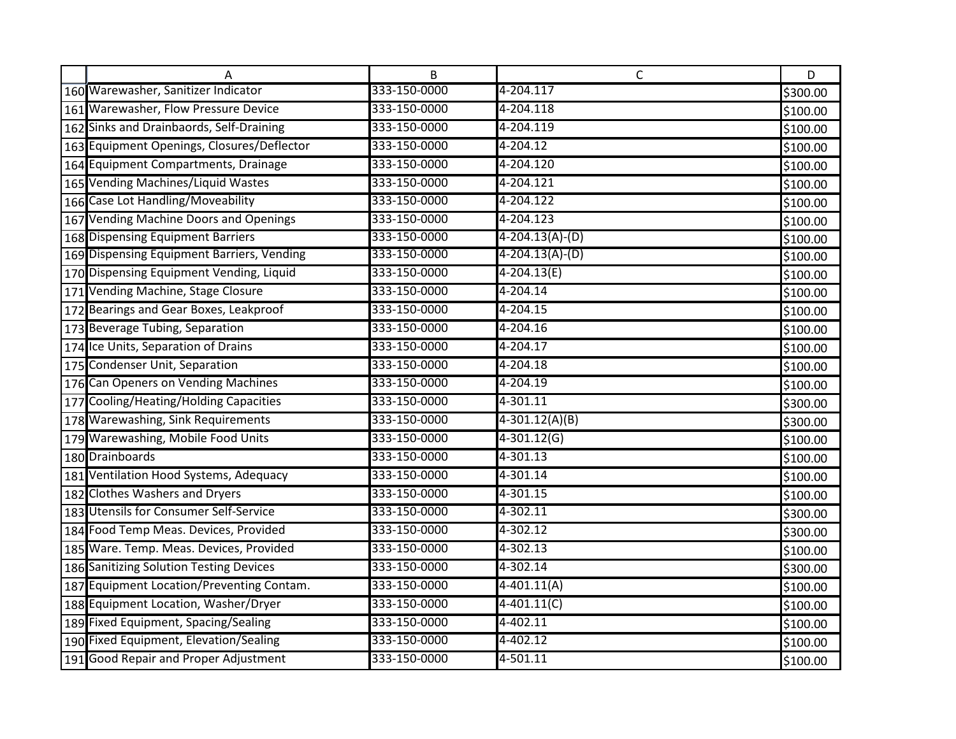| Α                                          | B            | C                     | D        |
|--------------------------------------------|--------------|-----------------------|----------|
| 160 Warewasher, Sanitizer Indicator        | 333-150-0000 | 4-204.117             | \$300.00 |
| 161 Warewasher, Flow Pressure Device       | 333-150-0000 | 4-204.118             | \$100.00 |
| 162 Sinks and Drainbaords, Self-Draining   | 333-150-0000 | 4-204.119             | \$100.00 |
| 163 Equipment Openings, Closures/Deflector | 333-150-0000 | $4 - 204.12$          | \$100.00 |
| 164 Equipment Compartments, Drainage       | 333-150-0000 | 4-204.120             | \$100.00 |
| 165 Vending Machines/Liquid Wastes         | 333-150-0000 | 4-204.121             | \$100.00 |
| 166 Case Lot Handling/Moveability          | 333-150-0000 | 4-204.122             | \$100.00 |
| 167 Vending Machine Doors and Openings     | 333-150-0000 | 4-204.123             | \$100.00 |
| 168 Dispensing Equipment Barriers          | 333-150-0000 | $4 - 204.13(A) - (D)$ | 5100.00  |
| 169 Dispensing Equipment Barriers, Vending | 333-150-0000 | $4-204.13(A)$ -(D)    | \$100.00 |
| 170 Dispensing Equipment Vending, Liquid   | 333-150-0000 | $4 - 204.13(E)$       | \$100.00 |
| 171 Vending Machine, Stage Closure         | 333-150-0000 | 4-204.14              | \$100.00 |
| 172 Bearings and Gear Boxes, Leakproof     | 333-150-0000 | $4 - 204.15$          | \$100.00 |
| 173 Beverage Tubing, Separation            | 333-150-0000 | $4 - 204.16$          | \$100.00 |
| 174 Ice Units, Separation of Drains        | 333-150-0000 | $4 - 204.17$          | \$100.00 |
| 175 Condenser Unit, Separation             | 333-150-0000 | 4-204.18              | \$100.00 |
| 176 Can Openers on Vending Machines        | 333-150-0000 | 4-204.19              | \$100.00 |
| 177 Cooling/Heating/Holding Capacities     | 333-150-0000 | 4-301.11              | \$300.00 |
| 178 Warewashing, Sink Requirements         | 333-150-0000 | $4 - 301.12(A)(B)$    | \$300.00 |
| 179 Warewashing, Mobile Food Units         | 333-150-0000 | $4 - 301.12(G)$       | \$100.00 |
| 180 Drainboards                            | 333-150-0000 | 4-301.13              | \$100.00 |
| 181 Ventilation Hood Systems, Adequacy     | 333-150-0000 | 4-301.14              | \$100.00 |
| 182 Clothes Washers and Dryers             | 333-150-0000 | $4 - 301.15$          | \$100.00 |
| 183 Utensils for Consumer Self-Service     | 333-150-0000 | 4-302.11              | \$300.00 |
| 184 Food Temp Meas. Devices, Provided      | 333-150-0000 | 4-302.12              | \$300.00 |
| 185 Ware. Temp. Meas. Devices, Provided    | 333-150-0000 | 4-302.13              | \$100.00 |
| 186 Sanitizing Solution Testing Devices    | 333-150-0000 | 4-302.14              | \$300.00 |
| 187 Equipment Location/Preventing Contam.  | 333-150-0000 | $4 - 401.11(A)$       | \$100.00 |
| 188 Equipment Location, Washer/Dryer       | 333-150-0000 | $4 - 401.11(C)$       | \$100.00 |
| 189 Fixed Equipment, Spacing/Sealing       | 333-150-0000 | 4-402.11              | \$100.00 |
| 190 Fixed Equipment, Elevation/Sealing     | 333-150-0000 | 4-402.12              | \$100.00 |
| 191 Good Repair and Proper Adjustment      | 333-150-0000 | 4-501.11              | \$100.00 |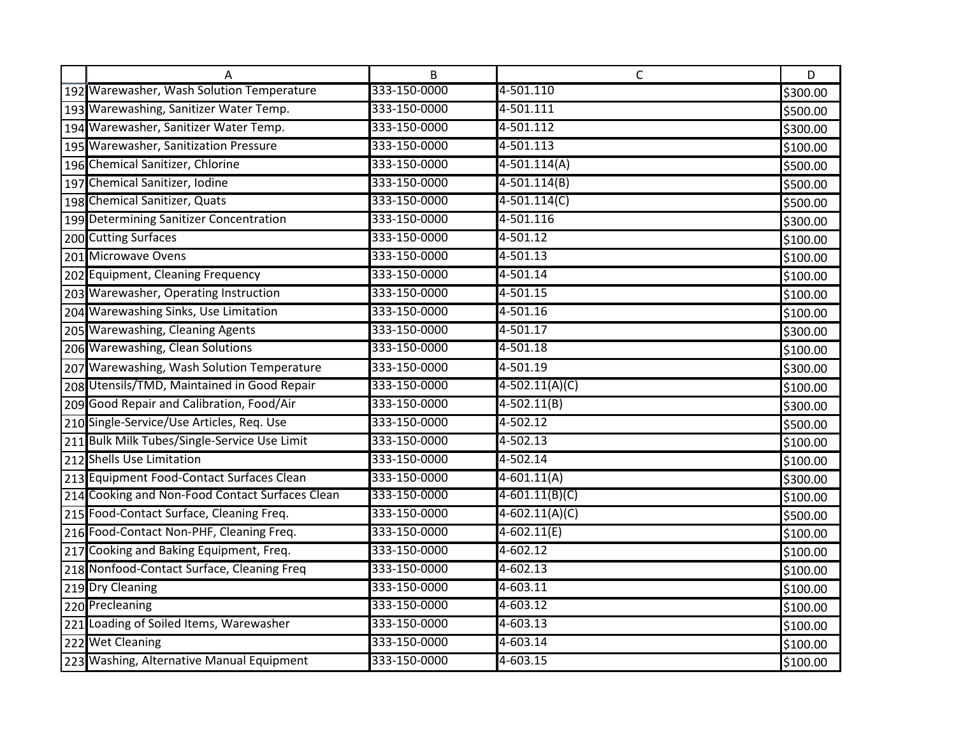| A                                               | B            | C                  | D        |
|-------------------------------------------------|--------------|--------------------|----------|
| 192 Warewasher, Wash Solution Temperature       | 333-150-0000 | 4-501.110          | \$300.00 |
| 193 Warewashing, Sanitizer Water Temp.          | 333-150-0000 | 4-501.111          | \$500.00 |
| 194 Warewasher, Sanitizer Water Temp.           | 333-150-0000 | 4-501.112          | \$300.00 |
| 195 Warewasher, Sanitization Pressure           | 333-150-0000 | 4-501.113          | \$100.00 |
| 196 Chemical Sanitizer, Chlorine                | 333-150-0000 | 4-501.114(A)       | \$500.00 |
| 197 Chemical Sanitizer, Iodine                  | 333-150-0000 | $4 - 501.114(B)$   | \$500.00 |
| 198 Chemical Sanitizer, Quats                   | 333-150-0000 | $4 - 501.114(C)$   | \$500.00 |
| 199 Determining Sanitizer Concentration         | 333-150-0000 | 4-501.116          | \$300.00 |
| 200 Cutting Surfaces                            | 333-150-0000 | 4-501.12           | \$100.00 |
| 201 Microwave Ovens                             | 333-150-0000 | 4-501.13           | \$100.00 |
| 202 Equipment, Cleaning Frequency               | 333-150-0000 | 4-501.14           | \$100.00 |
| 203 Warewasher, Operating Instruction           | 333-150-0000 | $4 - 501.15$       | \$100.00 |
| 204 Warewashing Sinks, Use Limitation           | 333-150-0000 | 4-501.16           | \$100.00 |
| 205 Warewashing, Cleaning Agents                | 333-150-0000 | $4 - 501.17$       | \$300.00 |
| 206 Warewashing, Clean Solutions                | 333-150-0000 | $4 - 501.18$       | \$100.00 |
| 207 Warewashing, Wash Solution Temperature      | 333-150-0000 | 4-501.19           | \$300.00 |
| 208 Utensils/TMD, Maintained in Good Repair     | 333-150-0000 | $4 - 502.11(A)(C)$ | \$100.00 |
| 209 Good Repair and Calibration, Food/Air       | 333-150-0000 | $4 - 502.11(B)$    | \$300.00 |
| 210 Single-Service/Use Articles, Req. Use       | 333-150-0000 | 4-502.12           | \$500.00 |
| 211 Bulk Milk Tubes/Single-Service Use Limit    | 333-150-0000 | 4-502.13           | \$100.00 |
| 212 Shells Use Limitation                       | 333-150-0000 | 4-502.14           | \$100.00 |
| 213 Equipment Food-Contact Surfaces Clean       | 333-150-0000 | $4 - 601.11(A)$    | \$300.00 |
| 214 Cooking and Non-Food Contact Surfaces Clean | 333-150-0000 | $4-601.11(B)(C)$   | \$100.00 |
| 215 Food-Contact Surface, Cleaning Freq.        | 333-150-0000 | $4-602.11(A)(C)$   | \$500.00 |
| 216 Food-Contact Non-PHF, Cleaning Freq.        | 333-150-0000 | $4 - 602.11(E)$    | \$100.00 |
| 217 Cooking and Baking Equipment, Freq.         | 333-150-0000 | 4-602.12           | \$100.00 |
| 218 Nonfood-Contact Surface, Cleaning Freq      | 333-150-0000 | $4 - 602.13$       | \$100.00 |
| 219 Dry Cleaning                                | 333-150-0000 | $4 - 603.11$       | \$100.00 |
| 220 Precleaning                                 | 333-150-0000 | 4-603.12           | \$100.00 |
| 221 Loading of Soiled Items, Warewasher         | 333-150-0000 | 4-603.13           | \$100.00 |
| 222 Wet Cleaning                                | 333-150-0000 | 4-603.14           | \$100.00 |
| 223 Washing, Alternative Manual Equipment       | 333-150-0000 | $4 - 603.15$       | \$100.00 |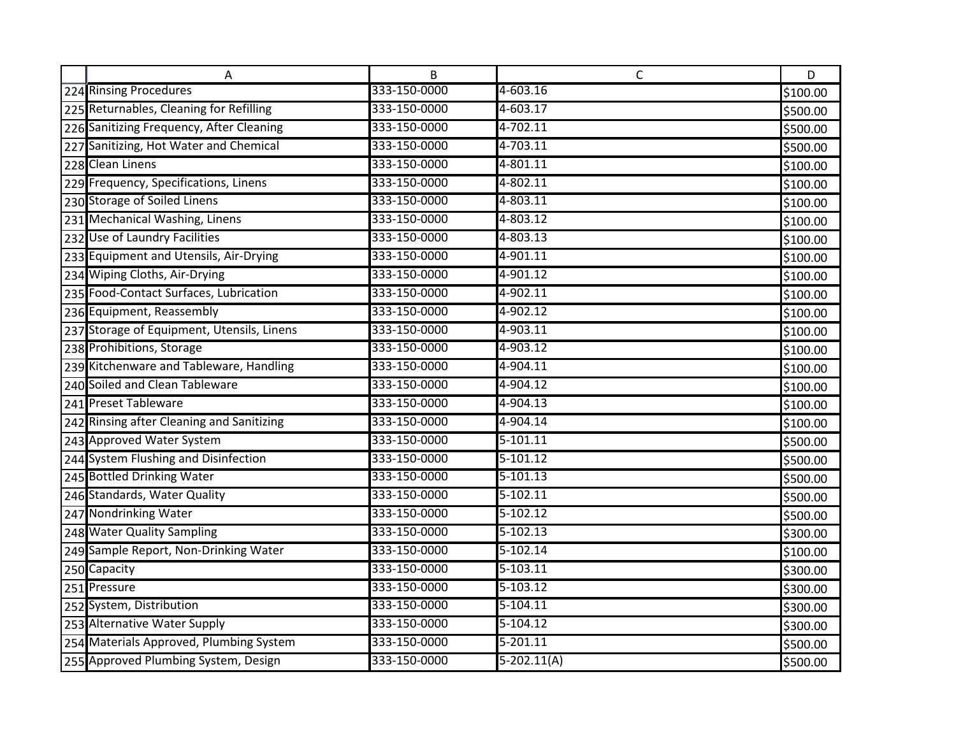| A                                          | B            | C               | D        |
|--------------------------------------------|--------------|-----------------|----------|
| 224 Rinsing Procedures                     | 333-150-0000 | $4 - 603.16$    | \$100.00 |
| 225 Returnables, Cleaning for Refilling    | 333-150-0000 | 4-603.17        | \$500.00 |
| 226 Sanitizing Frequency, After Cleaning   | 333-150-0000 | 4-702.11        | \$500.00 |
| 227 Sanitizing, Hot Water and Chemical     | 333-150-0000 | 4-703.11        | \$500.00 |
| 228 Clean Linens                           | 333-150-0000 | 4-801.11        | \$100.00 |
| 229 Frequency, Specifications, Linens      | 333-150-0000 | 4-802.11        | \$100.00 |
| 230 Storage of Soiled Linens               | 333-150-0000 | 4-803.11        | \$100.00 |
| 231 Mechanical Washing, Linens             | 333-150-0000 | 4-803.12        | \$100.00 |
| 232 Use of Laundry Facilities              | 333-150-0000 | 4-803.13        | \$100.00 |
| 233 Equipment and Utensils, Air-Drying     | 333-150-0000 | 4-901.11        | \$100.00 |
| 234 Wiping Cloths, Air-Drying              | 333-150-0000 | 4-901.12        | \$100.00 |
| 235 Food-Contact Surfaces, Lubrication     | 333-150-0000 | 4-902.11        | \$100.00 |
| 236 Equipment, Reassembly                  | 333-150-0000 | 4-902.12        | \$100.00 |
| 237 Storage of Equipment, Utensils, Linens | 333-150-0000 | 4-903.11        | \$100.00 |
| 238 Prohibitions, Storage                  | 333-150-0000 | 4-903.12        | \$100.00 |
| 239 Kitchenware and Tableware, Handling    | 333-150-0000 | 4-904.11        | \$100.00 |
| 240 Soiled and Clean Tableware             | 333-150-0000 | 4-904.12        | \$100.00 |
| 241 Preset Tableware                       | 333-150-0000 | 4-904.13        | \$100.00 |
| 242 Rinsing after Cleaning and Sanitizing  | 333-150-0000 | 4-904.14        | \$100.00 |
| 243 Approved Water System                  | 333-150-0000 | 5-101.11        | \$500.00 |
| 244 System Flushing and Disinfection       | 333-150-0000 | $5 - 101.12$    | \$500.00 |
| 245 Bottled Drinking Water                 | 333-150-0000 | $5 - 101.13$    | \$500.00 |
| 246 Standards, Water Quality               | 333-150-0000 | $5 - 102.11$    | \$500.00 |
| 247 Nondrinking Water                      | 333-150-0000 | $5 - 102.12$    | \$500.00 |
| 248 Water Quality Sampling                 | 333-150-0000 | $5 - 102.13$    | \$300.00 |
| 249 Sample Report, Non-Drinking Water      | 333-150-0000 | $5 - 102.14$    | \$100.00 |
| 250 Capacity                               | 333-150-0000 | $5 - 103.11$    | \$300.00 |
| 251 Pressure                               | 333-150-0000 | $5 - 103.12$    | \$300.00 |
| 252 System, Distribution                   | 333-150-0000 | 5-104.11        | \$300.00 |
| 253 Alternative Water Supply               | 333-150-0000 | $5 - 104.12$    | \$300.00 |
| 254 Materials Approved, Plumbing System    | 333-150-0000 | $5 - 201.11$    | \$500.00 |
| 255 Approved Plumbing System, Design       | 333-150-0000 | $5 - 202.11(A)$ | \$500.00 |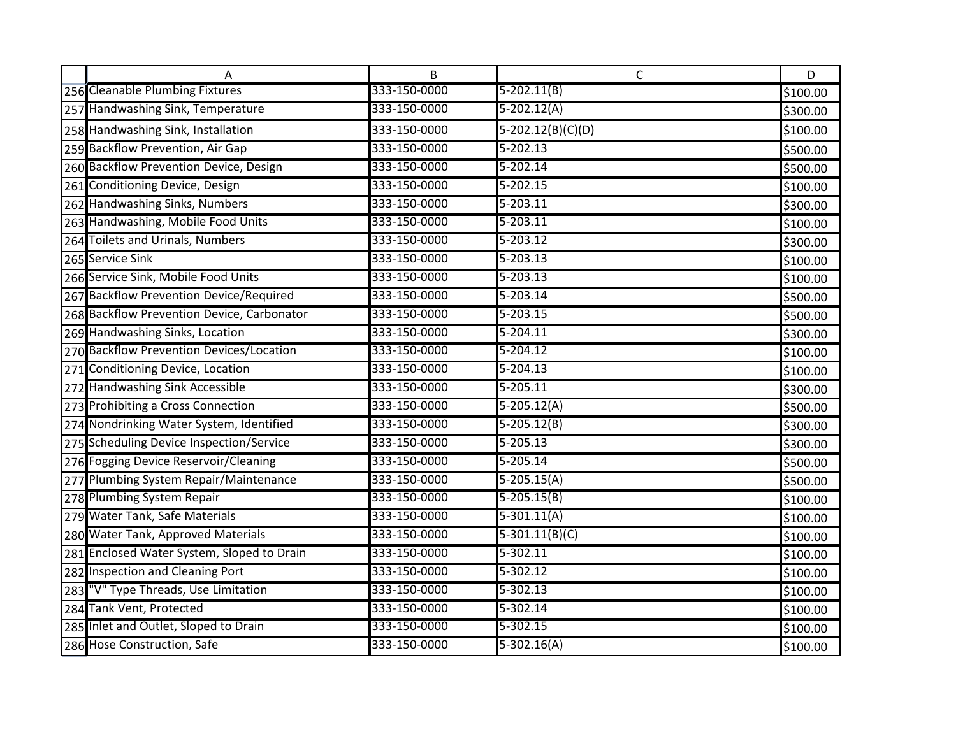| A                                          | B            | C                  | D        |
|--------------------------------------------|--------------|--------------------|----------|
| 256 Cleanable Plumbing Fixtures            | 333-150-0000 | $5 - 202.11(B)$    | \$100.00 |
| 257 Handwashing Sink, Temperature          | 333-150-0000 | $5 - 202.12(A)$    | \$300.00 |
| 258 Handwashing Sink, Installation         | 333-150-0000 | 5-202.12(B)(C)(D)  | \$100.00 |
| 259 Backflow Prevention, Air Gap           | 333-150-0000 | $5 - 202.13$       | \$500.00 |
| 260 Backflow Prevention Device, Design     | 333-150-0000 | $5 - 202.14$       | \$500.00 |
| 261 Conditioning Device, Design            | 333-150-0000 | $5 - 202.15$       | 5100.00  |
| 262 Handwashing Sinks, Numbers             | 333-150-0000 | $5 - 203.11$       | \$300.00 |
| 263 Handwashing, Mobile Food Units         | 333-150-0000 | $5 - 203.11$       | \$100.00 |
| 264 Toilets and Urinals, Numbers           | 333-150-0000 | $5 - 203.12$       | \$300.00 |
| 265 Service Sink                           | 333-150-0000 | $5 - 203.13$       | \$100.00 |
| 266 Service Sink, Mobile Food Units        | 333-150-0000 | $5 - 203.13$       | \$100.00 |
| 267 Backflow Prevention Device/Required    | 333-150-0000 | $5 - 203.14$       | \$500.00 |
| 268 Backflow Prevention Device, Carbonator | 333-150-0000 | $5 - 203.15$       | \$500.00 |
| 269 Handwashing Sinks, Location            | 333-150-0000 | $5 - 204.11$       | \$300.00 |
| 270 Backflow Prevention Devices/Location   | 333-150-0000 | $5 - 204.12$       | \$100.00 |
| 271 Conditioning Device, Location          | 333-150-0000 | $5 - 204.13$       | \$100.00 |
| 272 Handwashing Sink Accessible            | 333-150-0000 | $5 - 205.11$       | \$300.00 |
| 273 Prohibiting a Cross Connection         | 333-150-0000 | $5 - 205.12(A)$    | \$500.00 |
| 274 Nondrinking Water System, Identified   | 333-150-0000 | $5 - 205.12(B)$    | \$300.00 |
| 275 Scheduling Device Inspection/Service   | 333-150-0000 | $5 - 205.13$       | \$300.00 |
| 276 Fogging Device Reservoir/Cleaning      | 333-150-0000 | $5 - 205.14$       | \$500.00 |
| 277 Plumbing System Repair/Maintenance     | 333-150-0000 | $5-205.15(A)$      | \$500.00 |
| 278 Plumbing System Repair                 | 333-150-0000 | $5 - 205.15(B)$    | \$100.00 |
| 279 Water Tank, Safe Materials             | 333-150-0000 | $5 - 301.11(A)$    | \$100.00 |
| 280 Water Tank, Approved Materials         | 333-150-0000 | $5 - 301.11(B)(C)$ | \$100.00 |
| 281 Enclosed Water System, Sloped to Drain | 333-150-0000 | 5-302.11           | \$100.00 |
| 282 Inspection and Cleaning Port           | 333-150-0000 | $5 - 302.12$       | \$100.00 |
| 283 "V" Type Threads, Use Limitation       | 333-150-0000 | $5 - 302.13$       | \$100.00 |
| 284 Tank Vent, Protected                   | 333-150-0000 | $5 - 302.14$       | \$100.00 |
| 285 Inlet and Outlet, Sloped to Drain      | 333-150-0000 | $5 - 302.15$       | \$100.00 |
| 286 Hose Construction, Safe                | 333-150-0000 | $5-302.16(A)$      | \$100.00 |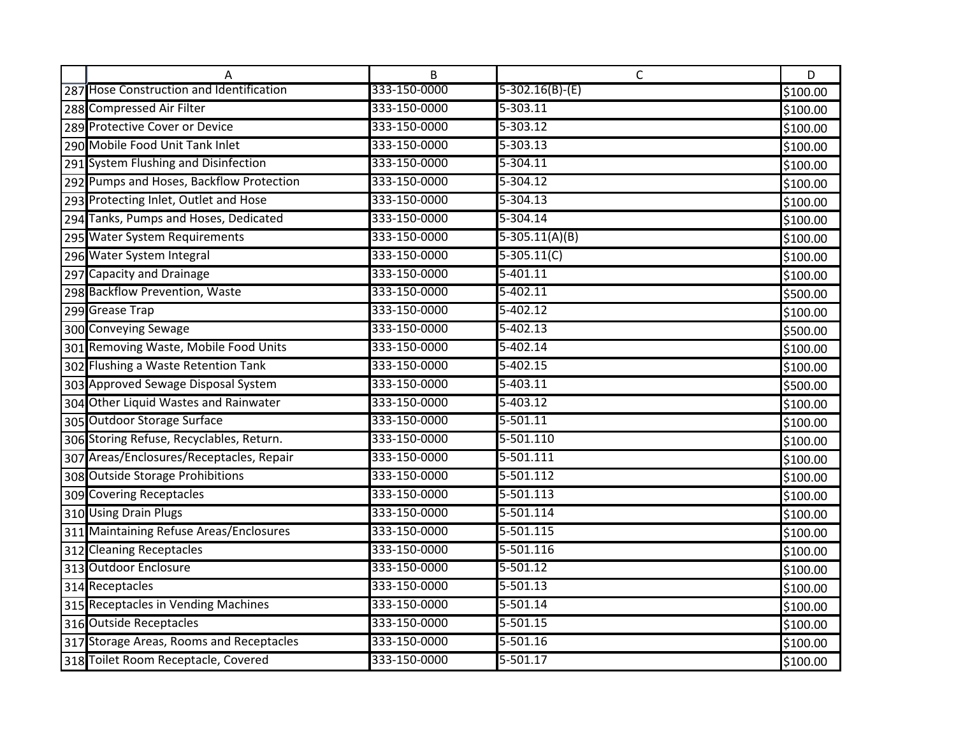| A                                        | B            | C                  | D        |
|------------------------------------------|--------------|--------------------|----------|
| 287 Hose Construction and Identification | 333-150-0000 | $5-302.16(B)-(E)$  | \$100.00 |
| 288 Compressed Air Filter                | 333-150-0000 | $5 - 303.11$       | \$100.00 |
| 289 Protective Cover or Device           | 333-150-0000 | $5 - 303.12$       | \$100.00 |
| 290 Mobile Food Unit Tank Inlet          | 333-150-0000 | $5 - 303.13$       | \$100.00 |
| 291 System Flushing and Disinfection     | 333-150-0000 | $5 - 304.11$       | \$100.00 |
| 292 Pumps and Hoses, Backflow Protection | 333-150-0000 | $5 - 304.12$       | \$100.00 |
| 293 Protecting Inlet, Outlet and Hose    | 333-150-0000 | 5-304.13           | \$100.00 |
| 294 Tanks, Pumps and Hoses, Dedicated    | 333-150-0000 | $5 - 304.14$       | \$100.00 |
| 295 Water System Requirements            | 333-150-0000 | $5 - 305.11(A)(B)$ | \$100.00 |
| 296 Water System Integral                | 333-150-0000 | $5 - 305.11(C)$    | \$100.00 |
| 297 Capacity and Drainage                | 333-150-0000 | $5 - 401.11$       | \$100.00 |
| 298 Backflow Prevention, Waste           | 333-150-0000 | $5 - 402.11$       | \$500.00 |
| 299 Grease Trap                          | 333-150-0000 | $5 - 402.12$       | \$100.00 |
| 300 Conveying Sewage                     | 333-150-0000 | $5 - 402.13$       | \$500.00 |
| 301 Removing Waste, Mobile Food Units    | 333-150-0000 | $5 - 402.14$       | \$100.00 |
| 302 Flushing a Waste Retention Tank      | 333-150-0000 | $5 - 402.15$       | \$100.00 |
| 303 Approved Sewage Disposal System      | 333-150-0000 | $5 - 403.11$       | \$500.00 |
| 304 Other Liquid Wastes and Rainwater    | 333-150-0000 | 5-403.12           | \$100.00 |
| 305 Outdoor Storage Surface              | 333-150-0000 | $5 - 501.11$       | \$100.00 |
| 306 Storing Refuse, Recyclables, Return. | 333-150-0000 | 5-501.110          | \$100.00 |
| 307 Areas/Enclosures/Receptacles, Repair | 333-150-0000 | 5-501.111          | \$100.00 |
| 308 Outside Storage Prohibitions         | 333-150-0000 | 5-501.112          | \$100.00 |
| 309 Covering Receptacles                 | 333-150-0000 | 5-501.113          | \$100.00 |
| 310 Using Drain Plugs                    | 333-150-0000 | $5 - 501.114$      | \$100.00 |
| 311 Maintaining Refuse Areas/Enclosures  | 333-150-0000 | 5-501.115          | \$100.00 |
| 312 Cleaning Receptacles                 | 333-150-0000 | 5-501.116          | \$100.00 |
| 313 Outdoor Enclosure                    | 333-150-0000 | $5 - 501.12$       | \$100.00 |
| 314 Receptacles                          | 333-150-0000 | $5 - 501.13$       | \$100.00 |
| 315 Receptacles in Vending Machines      | 333-150-0000 | 5-501.14           | \$100.00 |
| 316 Outside Receptacles                  | 333-150-0000 | $5 - 501.15$       | \$100.00 |
| 317 Storage Areas, Rooms and Receptacles | 333-150-0000 | $5 - 501.16$       | \$100.00 |
| 318 Toilet Room Receptacle, Covered      | 333-150-0000 | 5-501.17           | \$100.00 |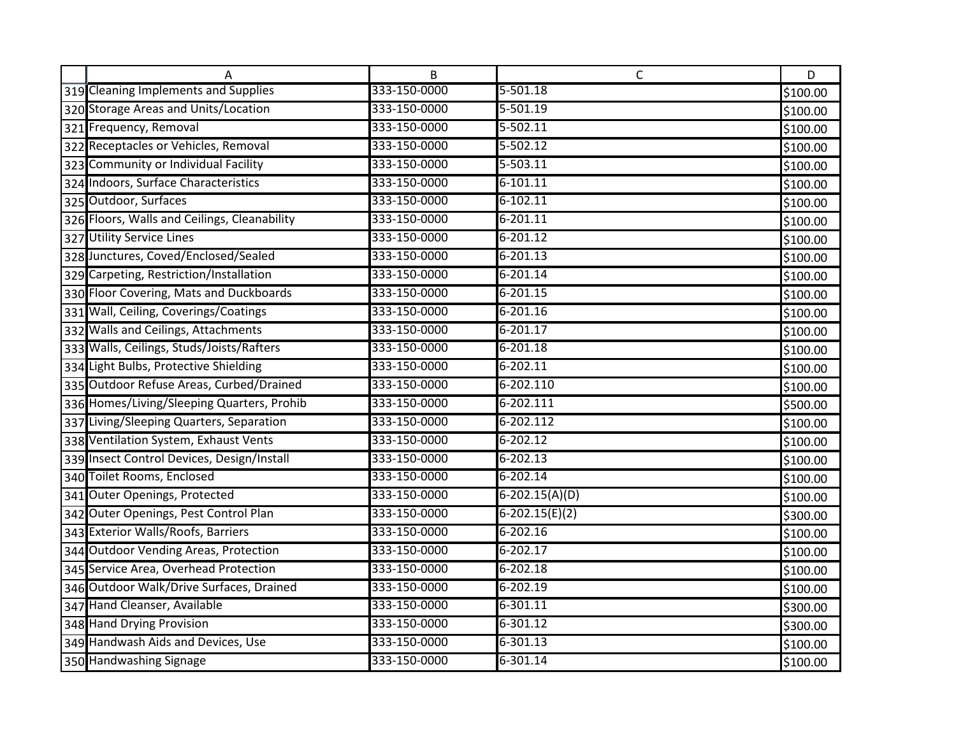| A                                            | B            | $\mathsf{C}$       | D        |
|----------------------------------------------|--------------|--------------------|----------|
| 319 Cleaning Implements and Supplies         | 333-150-0000 | 5-501.18           | \$100.00 |
| 320 Storage Areas and Units/Location         | 333-150-0000 | 5-501.19           | \$100.00 |
| 321 Frequency, Removal                       | 333-150-0000 | $5 - 502.11$       | \$100.00 |
| 322 Receptacles or Vehicles, Removal         | 333-150-0000 | $5 - 502.12$       | \$100.00 |
| 323 Community or Individual Facility         | 333-150-0000 | $5 - 503.11$       | \$100.00 |
| 324 Indoors, Surface Characteristics         | 333-150-0000 | $6 - 101.11$       | \$100.00 |
| 325 Outdoor, Surfaces                        | 333-150-0000 | 6-102.11           | \$100.00 |
| 326 Floors, Walls and Ceilings, Cleanability | 333-150-0000 | $6 - 201.11$       | \$100.00 |
| 327 Utility Service Lines                    | 333-150-0000 | $6 - 201.12$       | \$100.00 |
| 328 Junctures, Coved/Enclosed/Sealed         | 333-150-0000 | $6 - 201.13$       | \$100.00 |
| 329 Carpeting, Restriction/Installation      | 333-150-0000 | $6 - 201.14$       | \$100.00 |
| 330 Floor Covering, Mats and Duckboards      | 333-150-0000 | $6 - 201.15$       | \$100.00 |
| 331 Wall, Ceiling, Coverings/Coatings        | 333-150-0000 | $6 - 201.16$       | \$100.00 |
| 332 Walls and Ceilings, Attachments          | 333-150-0000 | $6 - 201.17$       | \$100.00 |
| 333 Walls, Ceilings, Studs/Joists/Rafters    | 333-150-0000 | $6 - 201.18$       | \$100.00 |
| 334 Light Bulbs, Protective Shielding        | 333-150-0000 | $6 - 202.11$       | \$100.00 |
| 335 Outdoor Refuse Areas, Curbed/Drained     | 333-150-0000 | 6-202.110          | \$100.00 |
| 336 Homes/Living/Sleeping Quarters, Prohib   | 333-150-0000 | 6-202.111          | \$500.00 |
| 337 Living/Sleeping Quarters, Separation     | 333-150-0000 | $6 - 202.112$      | \$100.00 |
| 338 Ventilation System, Exhaust Vents        | 333-150-0000 | $6 - 202.12$       | \$100.00 |
| 339 Insect Control Devices, Design/Install   | 333-150-0000 | 6-202.13           | \$100.00 |
| 340 Toilet Rooms, Enclosed                   | 333-150-0000 | $6 - 202.14$       | \$100.00 |
| 341 Outer Openings, Protected                | 333-150-0000 | $6 - 202.15(A)(D)$ | \$100.00 |
| 342 Outer Openings, Pest Control Plan        | 333-150-0000 | $6 - 202.15(E)(2)$ | \$300.00 |
| 343 Exterior Walls/Roofs, Barriers           | 333-150-0000 | $6 - 202.16$       | \$100.00 |
| 344 Outdoor Vending Areas, Protection        | 333-150-0000 | $6 - 202.17$       | \$100.00 |
| 345 Service Area, Overhead Protection        | 333-150-0000 | $6 - 202.18$       | \$100.00 |
| 346 Outdoor Walk/Drive Surfaces, Drained     | 333-150-0000 | $6 - 202.19$       | \$100.00 |
| 347 Hand Cleanser, Available                 | 333-150-0000 | $6 - 301.11$       | \$300.00 |
| 348 Hand Drying Provision                    | 333-150-0000 | $6 - 301.12$       | \$300.00 |
| 349 Handwash Aids and Devices, Use           | 333-150-0000 | $6 - 301.13$       | \$100.00 |
| 350 Handwashing Signage                      | 333-150-0000 | $6 - 301.14$       | \$100.00 |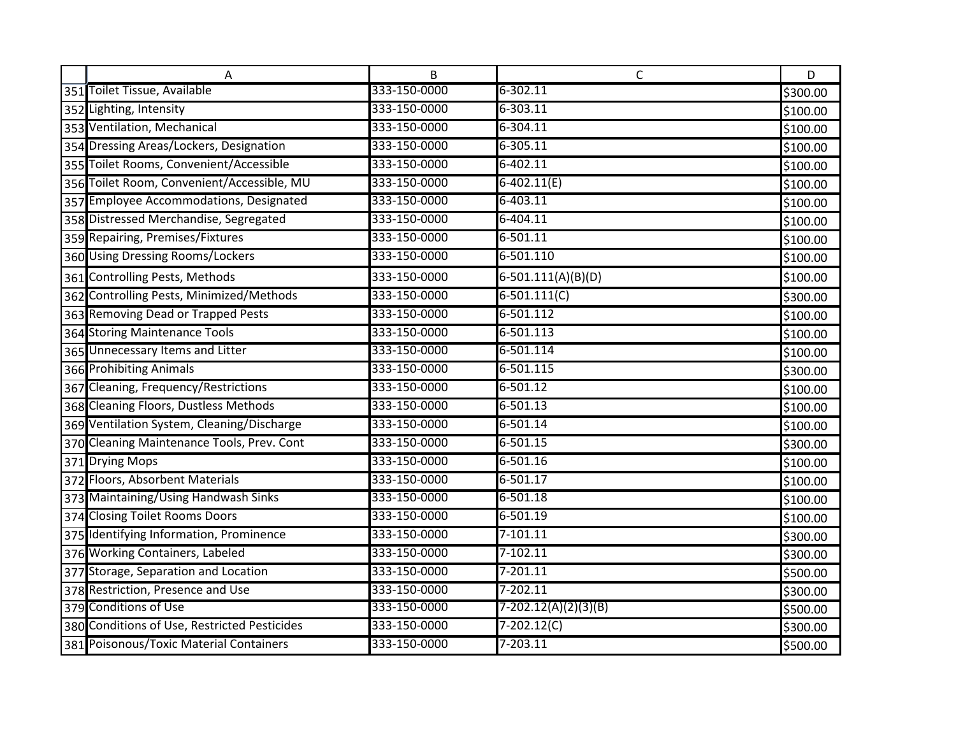| A                                            | B            | С                    | D        |
|----------------------------------------------|--------------|----------------------|----------|
| 351 Toilet Tissue, Available                 | 333-150-0000 | 6-302.11             | \$300.00 |
| 352 Lighting, Intensity                      | 333-150-0000 | 6-303.11             | \$100.00 |
| 353 Ventilation, Mechanical                  | 333-150-0000 | $6 - 304.11$         | \$100.00 |
| 354 Dressing Areas/Lockers, Designation      | 333-150-0000 | 6-305.11             | \$100.00 |
| 355 Toilet Rooms, Convenient/Accessible      | 333-150-0000 | $6 - 402.11$         | \$100.00 |
| 356 Toilet Room, Convenient/Accessible, MU   | 333-150-0000 | $6 - 402.11(E)$      | \$100.00 |
| 357 Employee Accommodations, Designated      | 333-150-0000 | 6-403.11             | \$100.00 |
| 358 Distressed Merchandise, Segregated       | 333-150-0000 | $6 - 404.11$         | \$100.00 |
| 359 Repairing, Premises/Fixtures             | 333-150-0000 | $6 - 501.11$         | \$100.00 |
| 360 Using Dressing Rooms/Lockers             | 333-150-0000 | 6-501.110            | \$100.00 |
| 361 Controlling Pests, Methods               | 333-150-0000 | 6-501.111(A)(B)(D)   | \$100.00 |
| 362 Controlling Pests, Minimized/Methods     | 333-150-0000 | $6 - 501.111(C)$     | \$300.00 |
| 363 Removing Dead or Trapped Pests           | 333-150-0000 | 6-501.112            | \$100.00 |
| 364 Storing Maintenance Tools                | 333-150-0000 | 6-501.113            | \$100.00 |
| 365 Unnecessary Items and Litter             | 333-150-0000 | $6 - 501.114$        | \$100.00 |
| 366 Prohibiting Animals                      | 333-150-0000 | 6-501.115            | \$300.00 |
| 367 Cleaning, Frequency/Restrictions         | 333-150-0000 | 6-501.12             | \$100.00 |
| 368 Cleaning Floors, Dustless Methods        | 333-150-0000 | 6-501.13             | \$100.00 |
| 369 Ventilation System, Cleaning/Discharge   | 333-150-0000 | $6 - 501.14$         | \$100.00 |
| 370 Cleaning Maintenance Tools, Prev. Cont   | 333-150-0000 | 6-501.15             | \$300.00 |
| 371 Drying Mops                              | 333-150-0000 | $6 - 501.16$         | \$100.00 |
| 372 Floors, Absorbent Materials              | 333-150-0000 | $6 - 501.17$         | \$100.00 |
| 373 Maintaining/Using Handwash Sinks         | 333-150-0000 | $6 - 501.18$         | \$100.00 |
| 374 Closing Toilet Rooms Doors               | 333-150-0000 | $6 - 501.19$         | \$100.00 |
| 375 Identifying Information, Prominence      | 333-150-0000 | $7 - 101.11$         | \$300.00 |
| 376 Working Containers, Labeled              | 333-150-0000 | $7 - 102.11$         | \$300.00 |
| 377 Storage, Separation and Location         | 333-150-0000 | $7 - 201.11$         | \$500.00 |
| 378 Restriction, Presence and Use            | 333-150-0000 | $7 - 202.11$         | \$300.00 |
| 379 Conditions of Use                        | 333-150-0000 | 7-202.12(A)(2)(3)(B) | \$500.00 |
| 380 Conditions of Use, Restricted Pesticides | 333-150-0000 | $7 - 202.12(C)$      | \$300.00 |
| 381 Poisonous/Toxic Material Containers      | 333-150-0000 | $7 - 203.11$         | \$500.00 |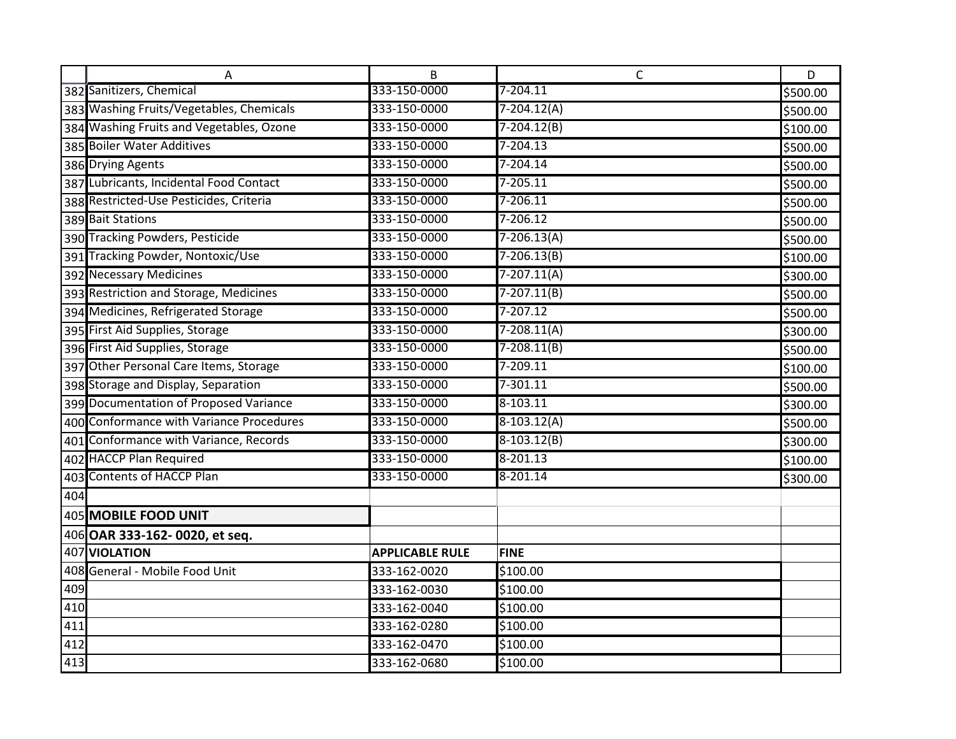|     | A                                        | B                      | C               | D        |
|-----|------------------------------------------|------------------------|-----------------|----------|
|     | 382 Sanitizers, Chemical                 | 333-150-0000           | $7 - 204.11$    | \$500.00 |
|     | 383 Washing Fruits/Vegetables, Chemicals | 333-150-0000           | $7 - 204.12(A)$ | \$500.00 |
|     | 384 Washing Fruits and Vegetables, Ozone | 333-150-0000           | $7 - 204.12(B)$ | \$100.00 |
|     | 385 Boiler Water Additives               | 333-150-0000           | $7 - 204.13$    | \$500.00 |
|     | 386 Drying Agents                        | 333-150-0000           | 7-204.14        | \$500.00 |
|     | 387 Lubricants, Incidental Food Contact  | 333-150-0000           | $7 - 205.11$    | \$500.00 |
|     | 388 Restricted-Use Pesticides, Criteria  | 333-150-0000           | 7-206.11        | \$500.00 |
|     | 389 Bait Stations                        | 333-150-0000           | $7 - 206.12$    | \$500.00 |
|     | 390 Tracking Powders, Pesticide          | 333-150-0000           | $7 - 206.13(A)$ | \$500.00 |
|     | 391 Tracking Powder, Nontoxic/Use        | 333-150-0000           | $7 - 206.13(B)$ | \$100.00 |
|     | 392 Necessary Medicines                  | 333-150-0000           | $7 - 207.11(A)$ | \$300.00 |
|     | 393 Restriction and Storage, Medicines   | 333-150-0000           | $7 - 207.11(B)$ | \$500.00 |
|     | 394 Medicines, Refrigerated Storage      | 333-150-0000           | 7-207.12        | \$500.00 |
|     | 395 First Aid Supplies, Storage          | 333-150-0000           | $7 - 208.11(A)$ | \$300.00 |
|     | 396 First Aid Supplies, Storage          | 333-150-0000           | $7 - 208.11(B)$ | \$500.00 |
|     | 397 Other Personal Care Items, Storage   | 333-150-0000           | 7-209.11        | \$100.00 |
|     | 398 Storage and Display, Separation      | 333-150-0000           | $7 - 301.11$    | \$500.00 |
|     | 399 Documentation of Proposed Variance   | 333-150-0000           | 8-103.11        | \$300.00 |
|     | 400 Conformance with Variance Procedures | 333-150-0000           | $8-103.12(A)$   | \$500.00 |
|     | 401 Conformance with Variance, Records   | 333-150-0000           | $8-103.12(B)$   | \$300.00 |
|     | 402 HACCP Plan Required                  | 333-150-0000           | 8-201.13        | \$100.00 |
|     | 403 Contents of HACCP Plan               | 333-150-0000           | $8 - 201.14$    | \$300.00 |
| 404 |                                          |                        |                 |          |
|     | 405 MOBILE FOOD UNIT                     |                        |                 |          |
|     | 406 OAR 333-162-0020, et seq.            |                        |                 |          |
|     | 407 VIOLATION                            | <b>APPLICABLE RULE</b> | <b>FINE</b>     |          |
|     | 408 General - Mobile Food Unit           | 333-162-0020           | \$100.00        |          |
| 409 |                                          | 333-162-0030           | \$100.00        |          |
| 410 |                                          | 333-162-0040           | \$100.00        |          |
| 411 |                                          | 333-162-0280           | \$100.00        |          |
| 412 |                                          | 333-162-0470           | \$100.00        |          |
| 413 |                                          | 333-162-0680           | \$100.00        |          |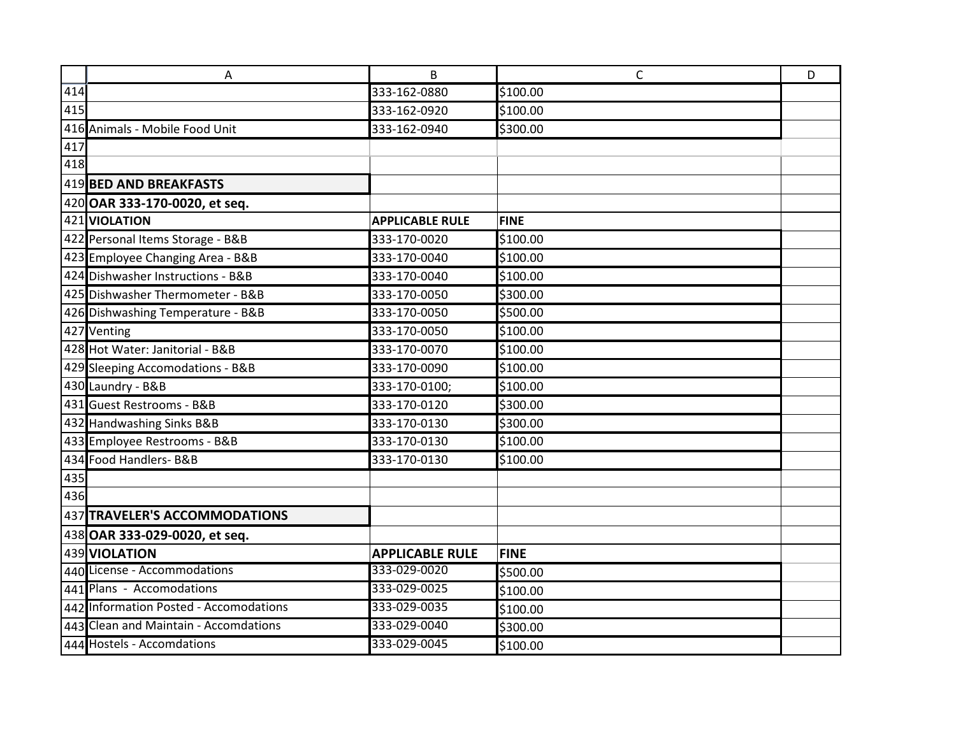|     | Α                                      | B                      | $\mathsf{C}$ | D |
|-----|----------------------------------------|------------------------|--------------|---|
| 414 |                                        | 333-162-0880           | \$100.00     |   |
| 415 |                                        | 333-162-0920           | \$100.00     |   |
|     | 416 Animals - Mobile Food Unit         | 333-162-0940           | \$300.00     |   |
| 417 |                                        |                        |              |   |
| 418 |                                        |                        |              |   |
|     | 419 BED AND BREAKFASTS                 |                        |              |   |
|     | 420 OAR 333-170-0020, et seq.          |                        |              |   |
|     | 421 VIOLATION                          | <b>APPLICABLE RULE</b> | <b>FINE</b>  |   |
|     | 422 Personal Items Storage - B&B       | 333-170-0020           | \$100.00     |   |
|     | 423 Employee Changing Area - B&B       | 333-170-0040           | 5100.00      |   |
|     | 424 Dishwasher Instructions - B&B      | 333-170-0040           | \$100.00     |   |
|     | 425 Dishwasher Thermometer - B&B       | 333-170-0050           | \$300.00     |   |
|     | 426 Dishwashing Temperature - B&B      | 333-170-0050           | \$500.00     |   |
|     | 427 Venting                            | 333-170-0050           | \$100.00     |   |
|     | 428 Hot Water: Janitorial - B&B        | 333-170-0070           | \$100.00     |   |
|     | 429 Sleeping Accomodations - B&B       | 333-170-0090           | \$100.00     |   |
|     | 430 Laundry - B&B                      | 333-170-0100;          | \$100.00     |   |
|     | 431 Guest Restrooms - B&B              | 333-170-0120           | \$300.00     |   |
|     | 432 Handwashing Sinks B&B              | 333-170-0130           | \$300.00     |   |
|     | 433 Employee Restrooms - B&B           | 333-170-0130           | \$100.00     |   |
|     | 434 Food Handlers-B&B                  | 333-170-0130           | \$100.00     |   |
| 435 |                                        |                        |              |   |
| 436 |                                        |                        |              |   |
|     | 437 TRAVELER'S ACCOMMODATIONS          |                        |              |   |
|     | 438 OAR 333-029-0020, et seq.          |                        |              |   |
|     | 439 VIOLATION                          | <b>APPLICABLE RULE</b> | <b>FINE</b>  |   |
|     | 440 License - Accommodations           | 333-029-0020           | \$500.00     |   |
|     | 441 Plans - Accomodations              | 333-029-0025           | \$100.00     |   |
|     | 442 Information Posted - Accomodations | 333-029-0035           | \$100.00     |   |
|     | 443 Clean and Maintain - Accomdations  | 333-029-0040           | \$300.00     |   |
|     | 444 Hostels - Accomdations             | 333-029-0045           | \$100.00     |   |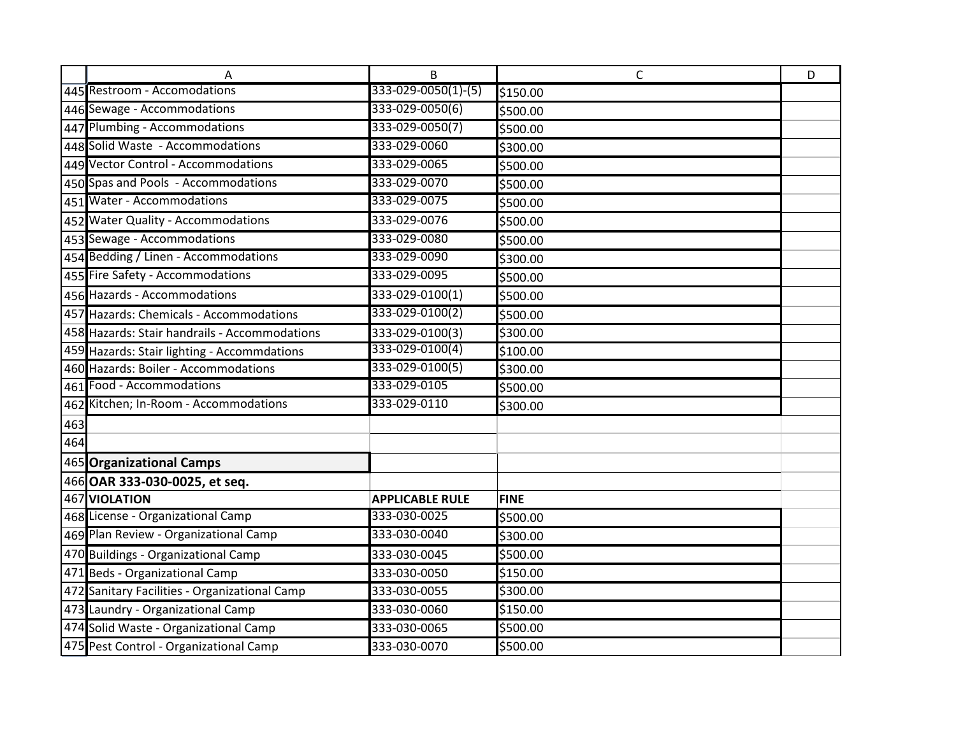|     | A                                             | B                      | $\mathsf{C}$ | D |
|-----|-----------------------------------------------|------------------------|--------------|---|
|     | 445 Restroom - Accomodations                  | 333-029-0050(1)-(5)    | \$150.00     |   |
|     | 446 Sewage - Accommodations                   | 333-029-0050(6)        | \$500.00     |   |
|     | 447 Plumbing - Accommodations                 | 333-029-0050(7)        | \$500.00     |   |
|     | 448 Solid Waste - Accommodations              | 333-029-0060           | \$300.00     |   |
|     | 449 Vector Control - Accommodations           | 333-029-0065           | \$500.00     |   |
|     | 450 Spas and Pools - Accommodations           | 333-029-0070           | \$500.00     |   |
|     | 451 Water - Accommodations                    | 333-029-0075           | \$500.00     |   |
|     | 452 Water Quality - Accommodations            | 333-029-0076           | \$500.00     |   |
|     | 453 Sewage - Accommodations                   | 333-029-0080           | \$500.00     |   |
|     | 454 Bedding / Linen - Accommodations          | 333-029-0090           | \$300.00     |   |
|     | 455 Fire Safety - Accommodations              | 333-029-0095           | \$500.00     |   |
|     | 456 Hazards - Accommodations                  | 333-029-0100(1)        | \$500.00     |   |
|     | 457 Hazards: Chemicals - Accommodations       | 333-029-0100(2)        | \$500.00     |   |
|     | 458 Hazards: Stair handrails - Accommodations | 333-029-0100(3)        | \$300.00     |   |
|     | 459 Hazards: Stair lighting - Accommdations   | 333-029-0100(4)        | \$100.00     |   |
|     | 460 Hazards: Boiler - Accommodations          | 333-029-0100(5)        | \$300.00     |   |
|     | 461 Food - Accommodations                     | 333-029-0105           | \$500.00     |   |
|     | 462 Kitchen; In-Room - Accommodations         | 333-029-0110           | \$300.00     |   |
| 463 |                                               |                        |              |   |
| 464 |                                               |                        |              |   |
|     | 465 Organizational Camps                      |                        |              |   |
|     | 466 OAR 333-030-0025, et seq.                 |                        |              |   |
|     | 467 VIOLATION                                 | <b>APPLICABLE RULE</b> | <b>FINE</b>  |   |
|     | 468 License - Organizational Camp             | 333-030-0025           | \$500.00     |   |
|     | 469 Plan Review - Organizational Camp         | 333-030-0040           | \$300.00     |   |
|     | 470 Buildings - Organizational Camp           | 333-030-0045           | \$500.00     |   |
|     | 471 Beds - Organizational Camp                | 333-030-0050           | \$150.00     |   |
|     | 472 Sanitary Facilities - Organizational Camp | 333-030-0055           | \$300.00     |   |
|     | 473 Laundry - Organizational Camp             | 333-030-0060           | \$150.00     |   |
|     | 474 Solid Waste - Organizational Camp         | 333-030-0065           | \$500.00     |   |
|     | 475 Pest Control - Organizational Camp        | 333-030-0070           | \$500.00     |   |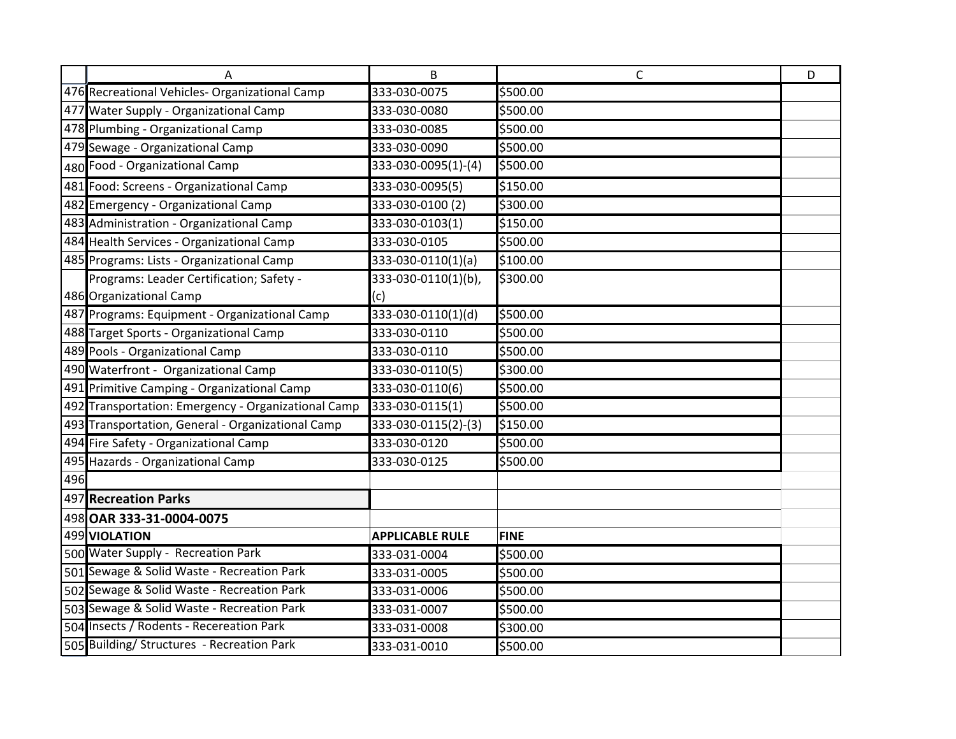|     | A                                                   | B                      | $\mathsf{C}$ | D |
|-----|-----------------------------------------------------|------------------------|--------------|---|
|     | 476 Recreational Vehicles-Organizational Camp       | 333-030-0075           | \$500.00     |   |
|     | 477 Water Supply - Organizational Camp              | 333-030-0080           | \$500.00     |   |
|     | 478 Plumbing - Organizational Camp                  | 333-030-0085           | \$500.00     |   |
|     | 479 Sewage - Organizational Camp                    | 333-030-0090           | \$500.00     |   |
|     | 480 Food - Organizational Camp                      | 333-030-0095(1)-(4)    | \$500.00     |   |
|     | 481 Food: Screens - Organizational Camp             | 333-030-0095(5)        | \$150.00     |   |
|     | 482 Emergency - Organizational Camp                 | 333-030-0100 (2)       | \$300.00     |   |
|     | 483 Administration - Organizational Camp            | 333-030-0103(1)        | \$150.00     |   |
|     | 484 Health Services - Organizational Camp           | 333-030-0105           | \$500.00     |   |
|     | 485 Programs: Lists - Organizational Camp           | 333-030-0110(1)(a)     | \$100.00     |   |
|     | Programs: Leader Certification; Safety -            | 333-030-0110(1)(b),    | \$300.00     |   |
|     | 486 Organizational Camp                             | (c)                    |              |   |
|     | 487 Programs: Equipment - Organizational Camp       | 333-030-0110(1)(d)     | \$500.00     |   |
|     | 488 Target Sports - Organizational Camp             | 333-030-0110           | \$500.00     |   |
|     | 489 Pools - Organizational Camp                     | 333-030-0110           | \$500.00     |   |
|     | 490 Waterfront - Organizational Camp                | 333-030-0110(5)        | \$300.00     |   |
|     | 491 Primitive Camping - Organizational Camp         | 333-030-0110(6)        | \$500.00     |   |
|     | 492 Transportation: Emergency - Organizational Camp | 333-030-0115(1)        | \$500.00     |   |
|     | 493 Transportation, General - Organizational Camp   | 333-030-0115(2)-(3)    | \$150.00     |   |
|     | 494 Fire Safety - Organizational Camp               | 333-030-0120           | \$500.00     |   |
|     | 495 Hazards - Organizational Camp                   | 333-030-0125           | \$500.00     |   |
| 496 |                                                     |                        |              |   |
|     | 497 Recreation Parks                                |                        |              |   |
|     | 498 OAR 333-31-0004-0075                            |                        |              |   |
|     | 499 VIOLATION                                       | <b>APPLICABLE RULE</b> | <b>FINE</b>  |   |
|     | 500 Water Supply - Recreation Park                  | 333-031-0004           | \$500.00     |   |
|     | 501 Sewage & Solid Waste - Recreation Park          | 333-031-0005           | \$500.00     |   |
|     | 502 Sewage & Solid Waste - Recreation Park          | 333-031-0006           | \$500.00     |   |
|     | 503 Sewage & Solid Waste - Recreation Park          | 333-031-0007           | \$500.00     |   |
|     | 504 Insects / Rodents - Recereation Park            | 333-031-0008           | \$300.00     |   |
|     | 505 Building/ Structures - Recreation Park          | 333-031-0010           | \$500.00     |   |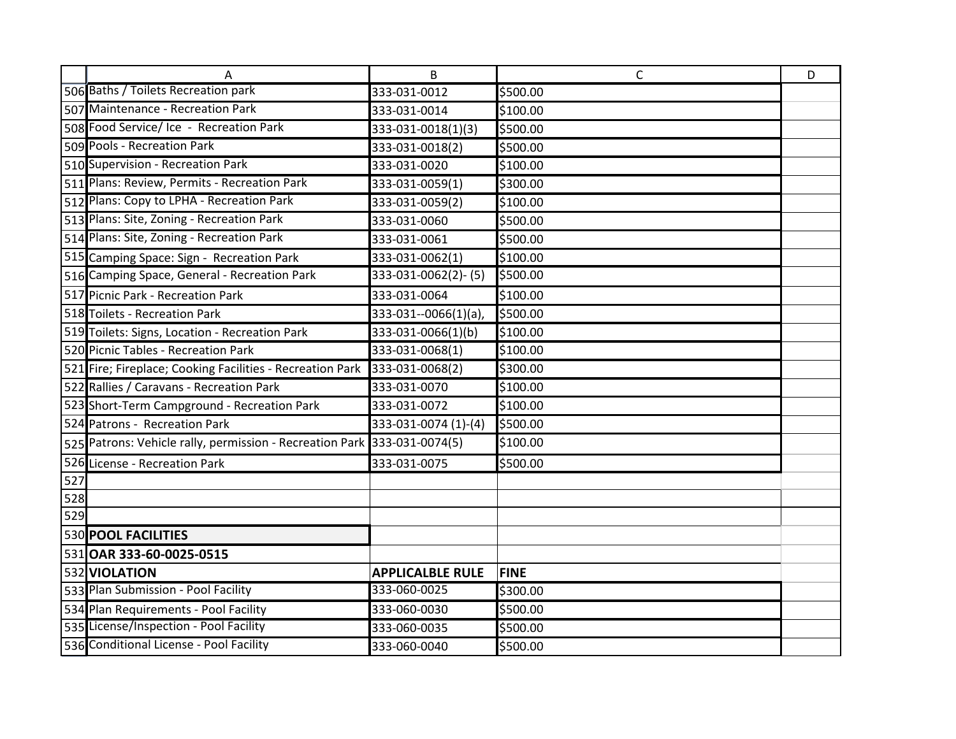|     | А                                                                        | B                       | C                | D |
|-----|--------------------------------------------------------------------------|-------------------------|------------------|---|
|     | 506 Baths / Toilets Recreation park                                      | 333-031-0012            | \$500.00         |   |
|     | 507 Maintenance - Recreation Park                                        | 333-031-0014            | \$100.00         |   |
|     | 508 Food Service/Ice - Recreation Park                                   | 333-031-0018(1)(3)      | \$500.00         |   |
|     | 509 Pools - Recreation Park                                              | 333-031-0018(2)         | \$500.00         |   |
|     | 510 Supervision - Recreation Park                                        | 333-031-0020            | \$100.00         |   |
|     | 511 Plans: Review, Permits - Recreation Park                             | 333-031-0059(1)         | \$300.00         |   |
|     | 512 Plans: Copy to LPHA - Recreation Park                                | 333-031-0059(2)         | \$100.00         |   |
|     | 513 Plans: Site, Zoning - Recreation Park                                | 333-031-0060            | \$500.00         |   |
|     | 514 Plans: Site, Zoning - Recreation Park                                | 333-031-0061            | \$500.00         |   |
|     | 515 Camping Space: Sign - Recreation Park                                | 333-031-0062(1)         | $\sqrt{5}100.00$ |   |
|     | 516 Camping Space, General - Recreation Park                             | 333-031-0062(2)-(5)     | \$500.00         |   |
|     | 517 Picnic Park - Recreation Park                                        | 333-031-0064            | \$100.00         |   |
|     | 518 Toilets - Recreation Park                                            | 333-031--0066(1)(a),    | \$500.00         |   |
|     | 519 Toilets: Signs, Location - Recreation Park                           | 333-031-0066(1)(b)      | \$100.00         |   |
|     | 520 Picnic Tables - Recreation Park                                      | 333-031-0068(1)         | \$100.00         |   |
|     | 521 Fire; Fireplace; Cooking Facilities - Recreation Park                | 333-031-0068(2)         | \$300.00         |   |
|     | 522 Rallies / Caravans - Recreation Park                                 | 333-031-0070            | \$100.00         |   |
|     | 523 Short-Term Campground - Recreation Park                              | 333-031-0072            | \$100.00         |   |
|     | 524 Patrons - Recreation Park                                            | 333-031-0074 (1)-(4)    | \$500.00         |   |
|     | 525 Patrons: Vehicle rally, permission - Recreation Park 333-031-0074(5) |                         | \$100.00         |   |
|     | 526 License - Recreation Park                                            | 333-031-0075            | \$500.00         |   |
| 527 |                                                                          |                         |                  |   |
| 528 |                                                                          |                         |                  |   |
| 529 |                                                                          |                         |                  |   |
|     | <b>530 POOL FACILITIES</b>                                               |                         |                  |   |
|     | 531 OAR 333-60-0025-0515                                                 |                         |                  |   |
|     | 532 VIOLATION                                                            | <b>APPLICALBLE RULE</b> | <b>FINE</b>      |   |
|     | 533 Plan Submission - Pool Facility                                      | 333-060-0025            | \$300.00         |   |
|     | 534 Plan Requirements - Pool Facility                                    | 333-060-0030            | \$500.00         |   |
|     | 535 License/Inspection - Pool Facility                                   | 333-060-0035            | \$500.00         |   |
|     | 536 Conditional License - Pool Facility                                  | 333-060-0040            | \$500.00         |   |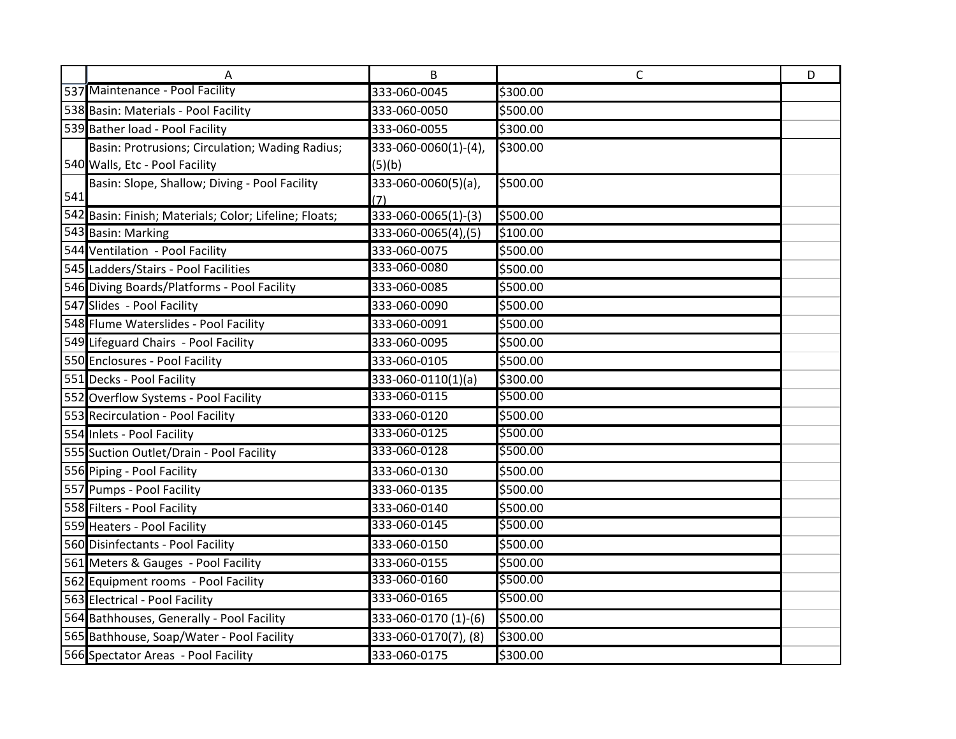|     | Α                                                      | <sub>B</sub>          | C        | D |
|-----|--------------------------------------------------------|-----------------------|----------|---|
|     | 537 Maintenance - Pool Facility                        | 333-060-0045          | \$300.00 |   |
|     | 538 Basin: Materials - Pool Facility                   | 333-060-0050          | \$500.00 |   |
|     | 539 Bather load - Pool Facility                        | 333-060-0055          | \$300.00 |   |
|     | Basin: Protrusions; Circulation; Wading Radius;        | 333-060-0060(1)-(4),  | \$300.00 |   |
|     | 540 Walls, Etc - Pool Facility                         | (5)(b)                |          |   |
|     | Basin: Slope, Shallow; Diving - Pool Facility          | 333-060-0060(5)(a),   | \$500.00 |   |
| 541 |                                                        | (7)                   |          |   |
|     | 542 Basin: Finish; Materials; Color; Lifeline; Floats; | $333-060-0065(1)-(3)$ | \$500.00 |   |
|     | 543 Basin: Marking                                     | 333-060-0065(4),(5)   | \$100.00 |   |
|     | 544 Ventilation - Pool Facility                        | 333-060-0075          | \$500.00 |   |
|     | 545 Ladders/Stairs - Pool Facilities                   | 333-060-0080          | \$500.00 |   |
|     | 546 Diving Boards/Platforms - Pool Facility            | 333-060-0085          | \$500.00 |   |
|     | 547 Slides - Pool Facility                             | 333-060-0090          | \$500.00 |   |
|     | 548 Flume Waterslides - Pool Facility                  | 333-060-0091          | \$500.00 |   |
|     | 549 Lifeguard Chairs - Pool Facility                   | 333-060-0095          | \$500.00 |   |
|     | 550 Enclosures - Pool Facility                         | 333-060-0105          | \$500.00 |   |
|     | 551 Decks - Pool Facility                              | 333-060-0110(1)(a)    | \$300.00 |   |
|     | 552 Overflow Systems - Pool Facility                   | 333-060-0115          | \$500.00 |   |
|     | 553 Recirculation - Pool Facility                      | 333-060-0120          | \$500.00 |   |
|     | 554 Inlets - Pool Facility                             | 333-060-0125          | \$500.00 |   |
|     | 555 Suction Outlet/Drain - Pool Facility               | 333-060-0128          | \$500.00 |   |
|     | 556 Piping - Pool Facility                             | 333-060-0130          | \$500.00 |   |
|     | 557 Pumps - Pool Facility                              | 333-060-0135          | \$500.00 |   |
|     | 558 Filters - Pool Facility                            | 333-060-0140          | \$500.00 |   |
|     | 559 Heaters - Pool Facility                            | 333-060-0145          | \$500.00 |   |
|     | 560 Disinfectants - Pool Facility                      | 333-060-0150          | \$500.00 |   |
|     | 561 Meters & Gauges - Pool Facility                    | 333-060-0155          | \$500.00 |   |
|     | 562 Equipment rooms - Pool Facility                    | 333-060-0160          | \$500.00 |   |
|     | 563 Electrical - Pool Facility                         | 333-060-0165          | \$500.00 |   |
|     | 564 Bathhouses, Generally - Pool Facility              | 333-060-0170 (1)-(6)  | \$500.00 |   |
|     | 565 Bathhouse, Soap/Water - Pool Facility              | 333-060-0170(7), (8)  | \$300.00 |   |
|     | 566 Spectator Areas - Pool Facility                    | 333-060-0175          | \$300.00 |   |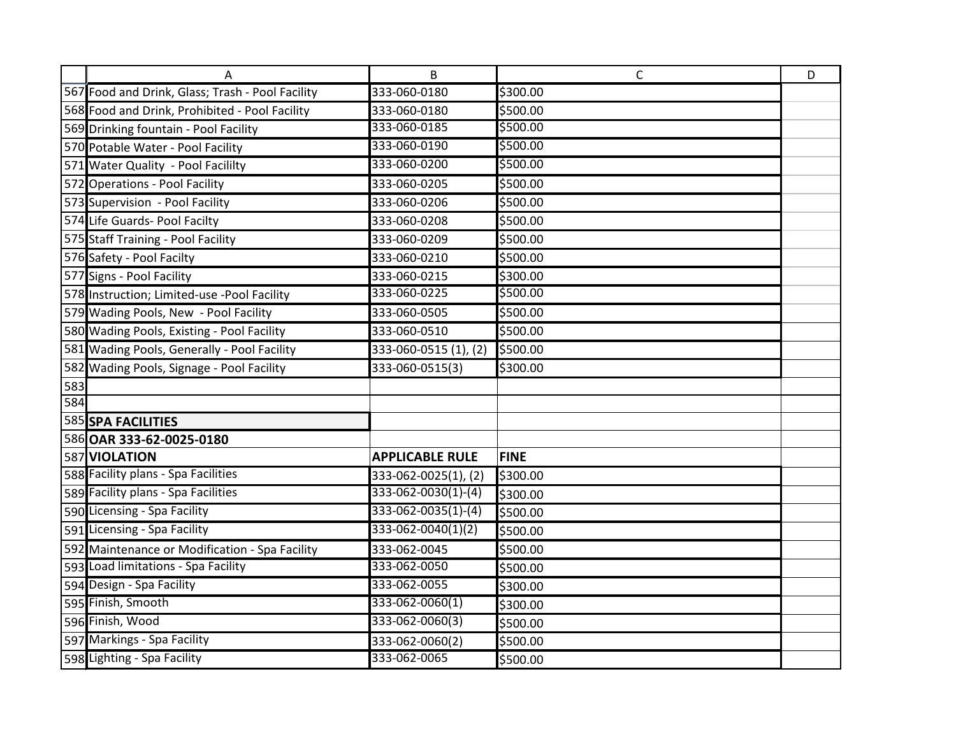|     | А                                                | B                           | $\mathsf C$ | D |
|-----|--------------------------------------------------|-----------------------------|-------------|---|
|     | 567 Food and Drink, Glass; Trash - Pool Facility | 333-060-0180                | \$300.00    |   |
|     | 568 Food and Drink, Prohibited - Pool Facility   | 333-060-0180                | \$500.00    |   |
|     | 569 Drinking fountain - Pool Facility            | 333-060-0185                | \$500.00    |   |
|     | 570 Potable Water - Pool Facility                | 333-060-0190                | \$500.00    |   |
|     | 571 Water Quality - Pool Facililty               | 333-060-0200                | \$500.00    |   |
|     | 572 Operations - Pool Facility                   | 333-060-0205                | \$500.00    |   |
|     | 573 Supervision - Pool Facility                  | 333-060-0206                | \$500.00    |   |
|     | 574 Life Guards- Pool Facilty                    | 333-060-0208                | \$500.00    |   |
|     | 575 Staff Training - Pool Facility               | 333-060-0209                | \$500.00    |   |
|     | 576 Safety - Pool Facilty                        | 333-060-0210                | \$500.00    |   |
|     | 577 Signs - Pool Facility                        | 333-060-0215                | \$300.00    |   |
|     | 578 Instruction; Limited-use -Pool Facility      | 333-060-0225                | \$500.00    |   |
|     | 579 Wading Pools, New - Pool Facility            | 333-060-0505                | \$500.00    |   |
|     | 580 Wading Pools, Existing - Pool Facility       | 333-060-0510                | \$500.00    |   |
|     | 581 Wading Pools, Generally - Pool Facility      | 333-060-0515 (1), (2)       | \$500.00    |   |
|     | 582 Wading Pools, Signage - Pool Facility        | 333-060-0515(3)             | \$300.00    |   |
| 583 |                                                  |                             |             |   |
| 584 |                                                  |                             |             |   |
|     | 585 SPA FACILITIES                               |                             |             |   |
|     | 586 OAR 333-62-0025-0180                         |                             |             |   |
|     | 587 VIOLATION                                    | <b>APPLICABLE RULE</b>      | <b>FINE</b> |   |
|     | 588 Facility plans - Spa Facilities              | 333-062-0025(1), (2)        | \$300.00    |   |
|     | 589 Facility plans - Spa Facilities              | $333 - 062 - 0030(1) - (4)$ | \$300.00    |   |
|     | 590 Licensing - Spa Facility                     | $333 - 062 - 0035(1) - (4)$ | \$500.00    |   |
|     | 591 Licensing - Spa Facility                     | 333-062-0040(1)(2)          | \$500.00    |   |
|     | 592 Maintenance or Modification - Spa Facility   | 333-062-0045                | \$500.00    |   |
|     | 593 Load limitations - Spa Facility              | 333-062-0050                | \$500.00    |   |
|     | 594 Design - Spa Facility                        | 333-062-0055                | \$300.00    |   |
|     | 595 Finish, Smooth                               | 333-062-0060(1)             | \$300.00    |   |
|     | 596 Finish, Wood                                 | 333-062-0060(3)             | \$500.00    |   |
|     | 597 Markings - Spa Facility                      | 333-062-0060(2)             | \$500.00    |   |
|     | 598 Lighting - Spa Facility                      | 333-062-0065                | \$500.00    |   |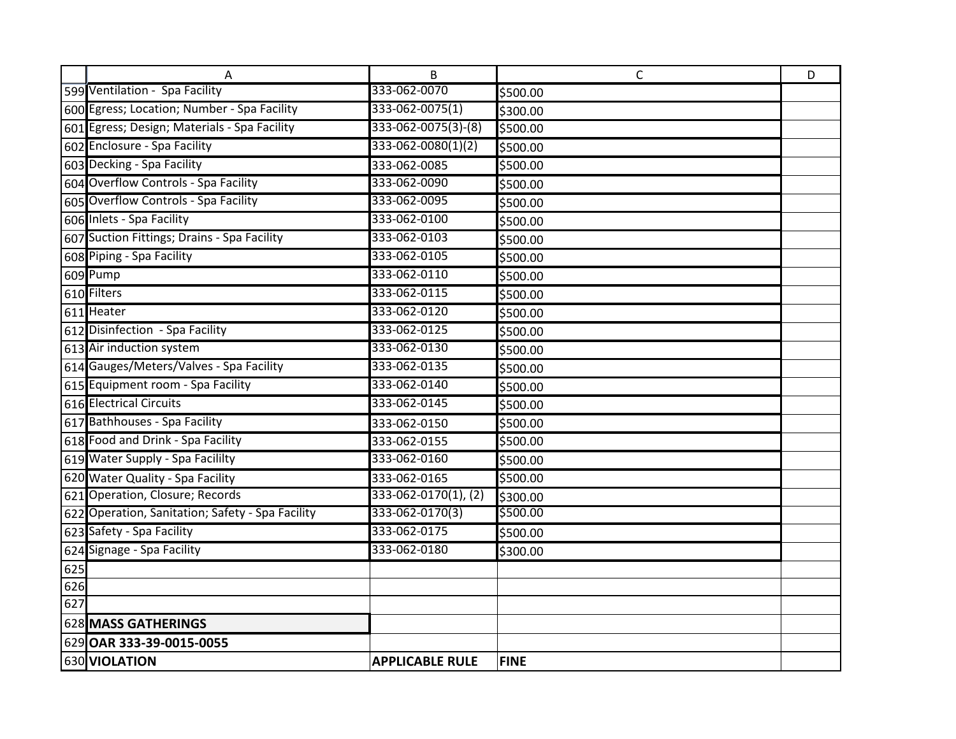|     | Α                                                | B                        | C           | D |
|-----|--------------------------------------------------|--------------------------|-------------|---|
|     | 599 Ventilation - Spa Facility                   | 333-062-0070             | \$500.00    |   |
|     | 600 Egress; Location; Number - Spa Facility      | 333-062-0075(1)          | \$300.00    |   |
|     | 601 Egress; Design; Materials - Spa Facility     | 333-062-0075(3)-(8)      | \$500.00    |   |
|     | 602 Enclosure - Spa Facility                     | $333 - 062 - 0080(1)(2)$ | \$500.00    |   |
|     | 603 Decking - Spa Facility                       | 333-062-0085             | \$500.00    |   |
|     | 604 Overflow Controls - Spa Facility             | 333-062-0090             | \$500.00    |   |
|     | 605 Overflow Controls - Spa Facility             | 333-062-0095             | \$500.00    |   |
|     | 606 Inlets - Spa Facility                        | 333-062-0100             | \$500.00    |   |
|     | 607 Suction Fittings; Drains - Spa Facility      | 333-062-0103             | \$500.00    |   |
|     | 608 Piping - Spa Facility                        | 333-062-0105             | \$500.00    |   |
|     | 609 Pump                                         | 333-062-0110             | \$500.00    |   |
|     | 610 Filters                                      | 333-062-0115             | \$500.00    |   |
|     | 611 Heater                                       | 333-062-0120             | \$500.00    |   |
|     | 612 Disinfection - Spa Facility                  | 333-062-0125             | \$500.00    |   |
|     | 613 Air induction system                         | 333-062-0130             | \$500.00    |   |
|     | 614 Gauges/Meters/Valves - Spa Facility          | 333-062-0135             | \$500.00    |   |
|     | 615 Equipment room - Spa Facility                | 333-062-0140             | \$500.00    |   |
|     | 616 Electrical Circuits                          | 333-062-0145             | \$500.00    |   |
|     | 617 Bathhouses - Spa Facility                    | 333-062-0150             | \$500.00    |   |
|     | 618 Food and Drink - Spa Facility                | 333-062-0155             | \$500.00    |   |
|     | 619 Water Supply - Spa Facililty                 | 333-062-0160             | \$500.00    |   |
|     | 620 Water Quality - Spa Facility                 | 333-062-0165             | \$500.00    |   |
|     | 621 Operation, Closure; Records                  | $333-062-0170(1), (2)$   | \$300.00    |   |
|     | 622 Operation, Sanitation; Safety - Spa Facility | 333-062-0170(3)          | \$500.00    |   |
|     | 623 Safety - Spa Facility                        | 333-062-0175             | \$500.00    |   |
|     | 624 Signage - Spa Facility                       | 333-062-0180             | \$300.00    |   |
| 625 |                                                  |                          |             |   |
| 626 |                                                  |                          |             |   |
| 627 |                                                  |                          |             |   |
|     | 628 MASS GATHERINGS                              |                          |             |   |
|     | 629 OAR 333-39-0015-0055                         |                          |             |   |
|     | 630 VIOLATION                                    | <b>APPLICABLE RULE</b>   | <b>FINE</b> |   |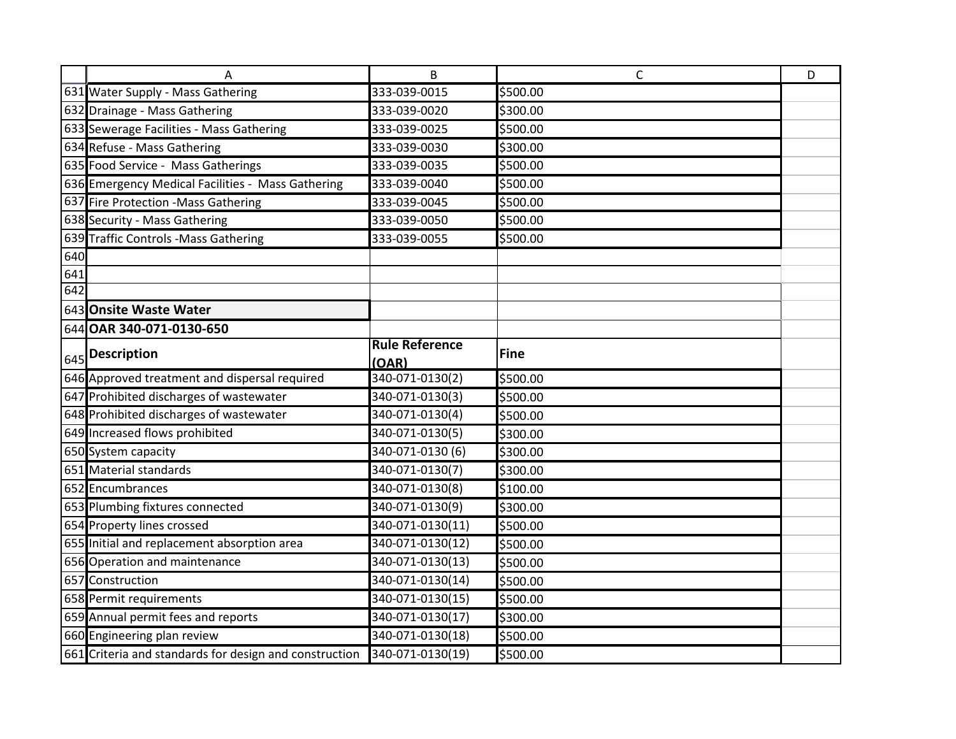|     | A                                                      | B                              | C           | D |
|-----|--------------------------------------------------------|--------------------------------|-------------|---|
|     | 631 Water Supply - Mass Gathering                      | 333-039-0015                   | \$500.00    |   |
|     | 632 Drainage - Mass Gathering                          | 333-039-0020                   | \$300.00    |   |
|     | 633 Sewerage Facilities - Mass Gathering               | 333-039-0025                   | \$500.00    |   |
|     | 634 Refuse - Mass Gathering                            | 333-039-0030                   | \$300.00    |   |
|     | 635 Food Service - Mass Gatherings                     | 333-039-0035                   | \$500.00    |   |
|     | 636 Emergency Medical Facilities - Mass Gathering      | 333-039-0040                   | \$500.00    |   |
|     | 637 Fire Protection - Mass Gathering                   | 333-039-0045                   | \$500.00    |   |
|     | 638 Security - Mass Gathering                          | 333-039-0050                   | \$500.00    |   |
|     | 639 Traffic Controls - Mass Gathering                  | 333-039-0055                   | \$500.00    |   |
| 640 |                                                        |                                |             |   |
| 641 |                                                        |                                |             |   |
| 642 |                                                        |                                |             |   |
|     | 643 Onsite Waste Water                                 |                                |             |   |
|     | 644 OAR 340-071-0130-650                               |                                |             |   |
| 645 | <b>Description</b>                                     | <b>Rule Reference</b><br>(OAR) | <b>Fine</b> |   |
|     | 646 Approved treatment and dispersal required          | $\overline{340-071-0130(2)}$   | \$500.00    |   |
|     | 647 Prohibited discharges of wastewater                | 340-071-0130(3)                | \$500.00    |   |
|     | 648 Prohibited discharges of wastewater                | 340-071-0130(4)                | \$500.00    |   |
|     | 649 Increased flows prohibited                         | 340-071-0130(5)                | \$300.00    |   |
|     | 650 System capacity                                    | 340-071-0130 (6)               | \$300.00    |   |
|     | 651 Material standards                                 | 340-071-0130(7)                | \$300.00    |   |
|     | 652 Encumbrances                                       | 340-071-0130(8)                | \$100.00    |   |
|     | 653 Plumbing fixtures connected                        | 340-071-0130(9)                | \$300.00    |   |
|     | 654 Property lines crossed                             | 340-071-0130(11)               | \$500.00    |   |
|     | 655 Initial and replacement absorption area            | 340-071-0130(12)               | \$500.00    |   |
|     | 656 Operation and maintenance                          | 340-071-0130(13)               | \$500.00    |   |
|     | 657 Construction                                       | 340-071-0130(14)               | \$500.00    |   |
|     | 658 Permit requirements                                | 340-071-0130(15)               | \$500.00    |   |
|     | 659 Annual permit fees and reports                     | 340-071-0130(17)               | \$300.00    |   |
|     | 660 Engineering plan review                            | 340-071-0130(18)               | \$500.00    |   |
|     | 661 Criteria and standards for design and construction | 340-071-0130(19)               | \$500.00    |   |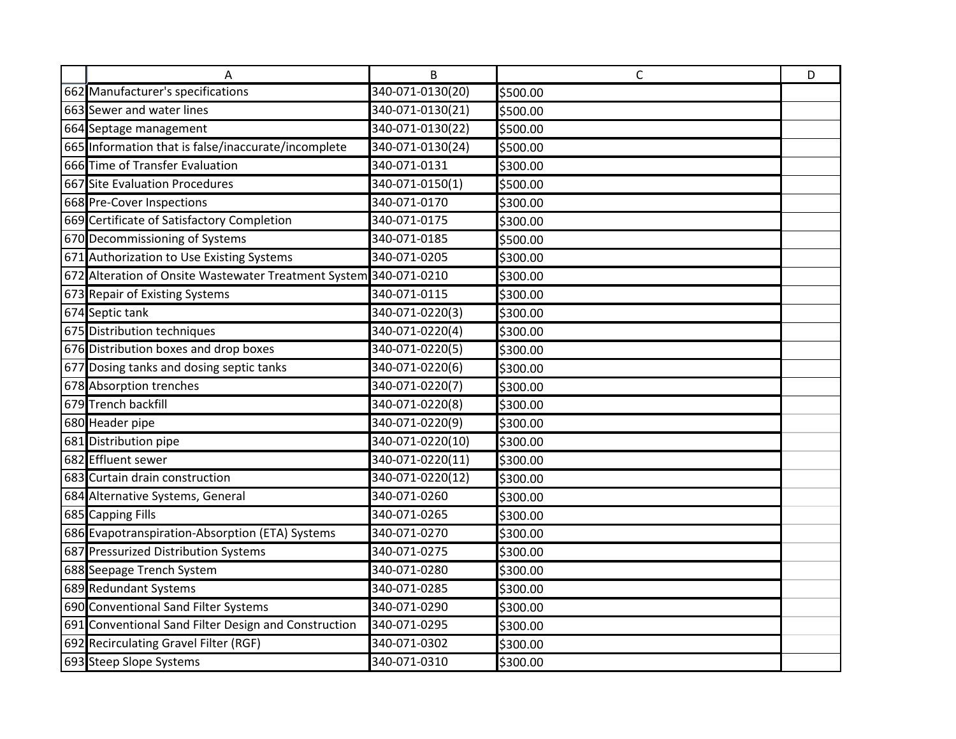| Α                                                                 | B                | $\mathsf{C}$ | D |
|-------------------------------------------------------------------|------------------|--------------|---|
| 662 Manufacturer's specifications                                 | 340-071-0130(20) | \$500.00     |   |
| 663 Sewer and water lines                                         | 340-071-0130(21) | \$500.00     |   |
| 664 Septage management                                            | 340-071-0130(22) | \$500.00     |   |
| 665 Information that is false/inaccurate/incomplete               | 340-071-0130(24) | \$500.00     |   |
| 666 Time of Transfer Evaluation                                   | 340-071-0131     | \$300.00     |   |
| 667 Site Evaluation Procedures                                    | 340-071-0150(1)  | \$500.00     |   |
| 668 Pre-Cover Inspections                                         | 340-071-0170     | \$300.00     |   |
| 669 Certificate of Satisfactory Completion                        | 340-071-0175     | \$300.00     |   |
| 670 Decommissioning of Systems                                    | 340-071-0185     | \$500.00     |   |
| 671 Authorization to Use Existing Systems                         | 340-071-0205     | \$300.00     |   |
| 672 Alteration of Onsite Wastewater Treatment System 340-071-0210 |                  | \$300.00     |   |
| 673 Repair of Existing Systems                                    | 340-071-0115     | \$300.00     |   |
| 674 Septic tank                                                   | 340-071-0220(3)  | \$300.00     |   |
| 675 Distribution techniques                                       | 340-071-0220(4)  | \$300.00     |   |
| 676 Distribution boxes and drop boxes                             | 340-071-0220(5)  | \$300.00     |   |
| 677 Dosing tanks and dosing septic tanks                          | 340-071-0220(6)  | \$300.00     |   |
| 678 Absorption trenches                                           | 340-071-0220(7)  | \$300.00     |   |
| 679 Trench backfill                                               | 340-071-0220(8)  | \$300.00     |   |
| 680 Header pipe                                                   | 340-071-0220(9)  | \$300.00     |   |
| 681 Distribution pipe                                             | 340-071-0220(10) | \$300.00     |   |
| 682 Effluent sewer                                                | 340-071-0220(11) | \$300.00     |   |
| 683 Curtain drain construction                                    | 340-071-0220(12) | \$300.00     |   |
| 684 Alternative Systems, General                                  | 340-071-0260     | \$300.00     |   |
| 685 Capping Fills                                                 | 340-071-0265     | \$300.00     |   |
| 686 Evapotranspiration-Absorption (ETA) Systems                   | 340-071-0270     | \$300.00     |   |
| 687 Pressurized Distribution Systems                              | 340-071-0275     | \$300.00     |   |
| 688 Seepage Trench System                                         | 340-071-0280     | \$300.00     |   |
| 689 Redundant Systems                                             | 340-071-0285     | \$300.00     |   |
| <b>690 Conventional Sand Filter Systems</b>                       | 340-071-0290     | \$300.00     |   |
| 691 Conventional Sand Filter Design and Construction              | 340-071-0295     | \$300.00     |   |
| 692 Recirculating Gravel Filter (RGF)                             | 340-071-0302     | \$300.00     |   |
| 693 Steep Slope Systems                                           | 340-071-0310     | \$300.00     |   |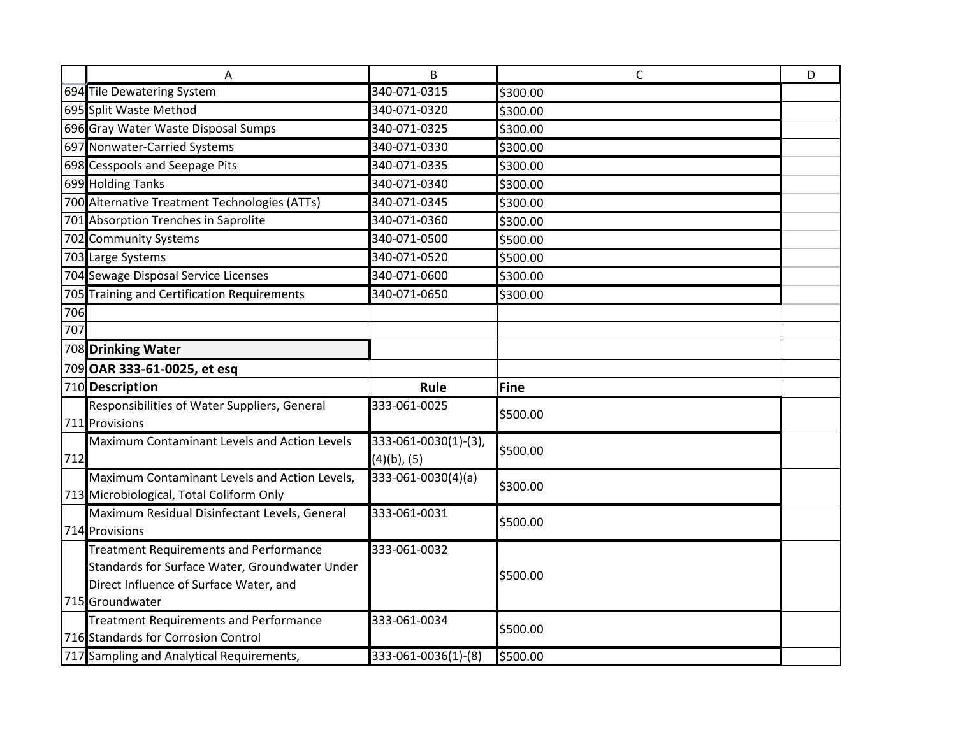|     | A                                              | B                       | C           | D |
|-----|------------------------------------------------|-------------------------|-------------|---|
|     | 694 Tile Dewatering System                     | 340-071-0315            | \$300.00    |   |
|     | 695 Split Waste Method                         | 340-071-0320            | \$300.00    |   |
|     | 696 Gray Water Waste Disposal Sumps            | 340-071-0325            | \$300.00    |   |
|     | 697 Nonwater-Carried Systems                   | 340-071-0330            | \$300.00    |   |
|     | 698 Cesspools and Seepage Pits                 | 340-071-0335            | \$300.00    |   |
|     | 699 Holding Tanks                              | 340-071-0340            | \$300.00    |   |
|     | 700 Alternative Treatment Technologies (ATTs)  | 340-071-0345            | \$300.00    |   |
|     | 701 Absorption Trenches in Saprolite           | 340-071-0360            | \$300.00    |   |
|     | 702 Community Systems                          | 340-071-0500            | \$500.00    |   |
|     | 703 Large Systems                              | 340-071-0520            | \$500.00    |   |
|     | 704 Sewage Disposal Service Licenses           | 340-071-0600            | \$300.00    |   |
|     | 705 Training and Certification Requirements    | 340-071-0650            | \$300.00    |   |
| 706 |                                                |                         |             |   |
| 707 |                                                |                         |             |   |
|     | 708 Drinking Water                             |                         |             |   |
|     | 709 OAR 333-61-0025, et esq                    |                         |             |   |
|     | 710 Description                                | Rule                    | <b>Fine</b> |   |
|     | Responsibilities of Water Suppliers, General   | 333-061-0025            | \$500.00    |   |
|     | 711 Provisions                                 |                         |             |   |
|     | Maximum Contaminant Levels and Action Levels   | $333-061-0030(1)-(3)$ , | \$500.00    |   |
| 712 |                                                | $(4)(b)$ , $(5)$        |             |   |
|     | Maximum Contaminant Levels and Action Levels,  | 333-061-0030(4)(a)      | \$300.00    |   |
|     | 713 Microbiological, Total Coliform Only       |                         |             |   |
|     | Maximum Residual Disinfectant Levels, General  | 333-061-0031            | \$500.00    |   |
|     | 714 Provisions                                 |                         |             |   |
|     | Treatment Requirements and Performance         | 333-061-0032            |             |   |
|     | Standards for Surface Water, Groundwater Under |                         | \$500.00    |   |
|     | Direct Influence of Surface Water, and         |                         |             |   |
|     | 715 Groundwater                                |                         |             |   |
|     | Treatment Requirements and Performance         | 333-061-0034            | \$500.00    |   |
|     | 716 Standards for Corrosion Control            |                         |             |   |
|     | 717 Sampling and Analytical Requirements,      | 333-061-0036(1)-(8)     | \$500.00    |   |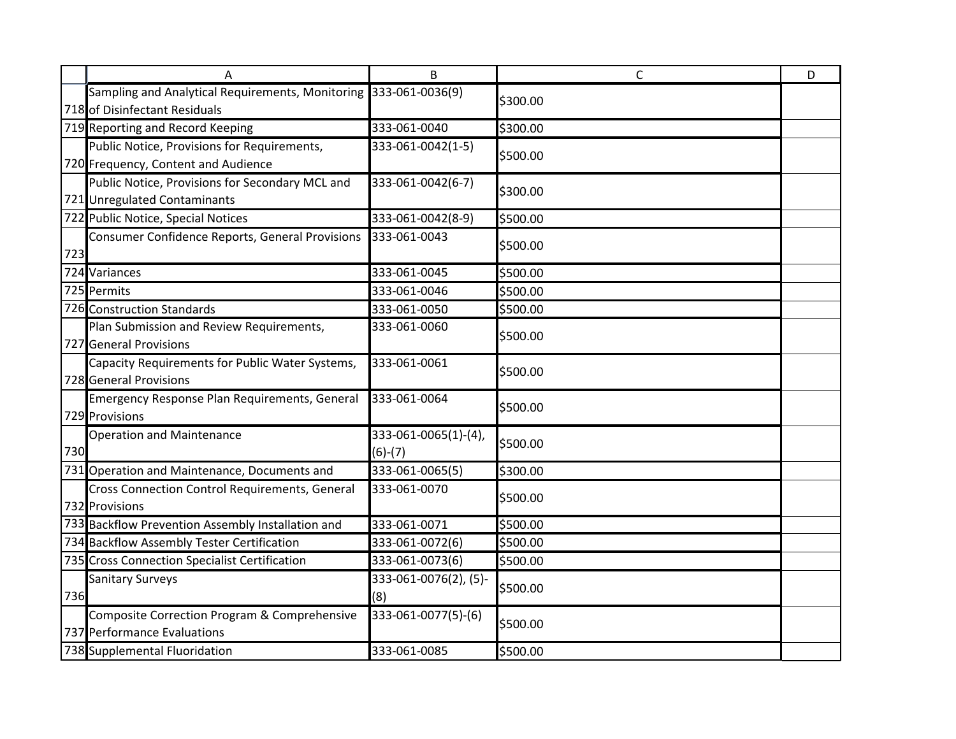|     | Α                                                                | B                     | C        | D |
|-----|------------------------------------------------------------------|-----------------------|----------|---|
|     | Sampling and Analytical Requirements, Monitoring 333-061-0036(9) |                       | \$300.00 |   |
|     | 718 of Disinfectant Residuals                                    |                       |          |   |
|     | 719 Reporting and Record Keeping                                 | 333-061-0040          | \$300.00 |   |
|     | Public Notice, Provisions for Requirements,                      | 333-061-0042(1-5)     | \$500.00 |   |
|     | 720 Frequency, Content and Audience                              |                       |          |   |
|     | Public Notice, Provisions for Secondary MCL and                  | 333-061-0042(6-7)     | \$300.00 |   |
|     | 721 Unregulated Contaminants                                     |                       |          |   |
| 722 | Public Notice, Special Notices                                   | 333-061-0042(8-9)     | \$500.00 |   |
|     | Consumer Confidence Reports, General Provisions                  | 333-061-0043          | \$500.00 |   |
| 723 |                                                                  |                       |          |   |
|     | 724 Variances                                                    | 333-061-0045          | \$500.00 |   |
|     | 725 Permits                                                      | 333-061-0046          | \$500.00 |   |
|     | 726 Construction Standards                                       | 333-061-0050          | \$500.00 |   |
|     | Plan Submission and Review Requirements,                         | 333-061-0060          | \$500.00 |   |
|     | 727 General Provisions                                           |                       |          |   |
|     | Capacity Requirements for Public Water Systems,                  | 333-061-0061          | \$500.00 |   |
|     | 728 General Provisions                                           |                       |          |   |
|     | Emergency Response Plan Requirements, General                    | 333-061-0064          | \$500.00 |   |
|     | 729 Provisions                                                   |                       |          |   |
|     | <b>Operation and Maintenance</b>                                 | 333-061-0065(1)-(4),  | \$500.00 |   |
| 730 |                                                                  | $(6)-(7)$             |          |   |
|     | 731 Operation and Maintenance, Documents and                     | 333-061-0065(5)       | \$300.00 |   |
|     | <b>Cross Connection Control Requirements, General</b>            | 333-061-0070          | \$500.00 |   |
|     | 732 Provisions                                                   |                       |          |   |
|     | 733 Backflow Prevention Assembly Installation and                | 333-061-0071          | \$500.00 |   |
|     | 734 Backflow Assembly Tester Certification                       | 333-061-0072(6)       | \$500.00 |   |
|     | 735 Cross Connection Specialist Certification                    | 333-061-0073(6)       | \$500.00 |   |
|     | <b>Sanitary Surveys</b>                                          | 333-061-0076(2), (5)- |          |   |
| 736 |                                                                  | (8)                   | \$500.00 |   |
|     | Composite Correction Program & Comprehensive                     | 333-061-0077(5)-(6)   | \$500.00 |   |
|     | 737 Performance Evaluations                                      |                       |          |   |
|     | 738 Supplemental Fluoridation                                    | 333-061-0085          | \$500.00 |   |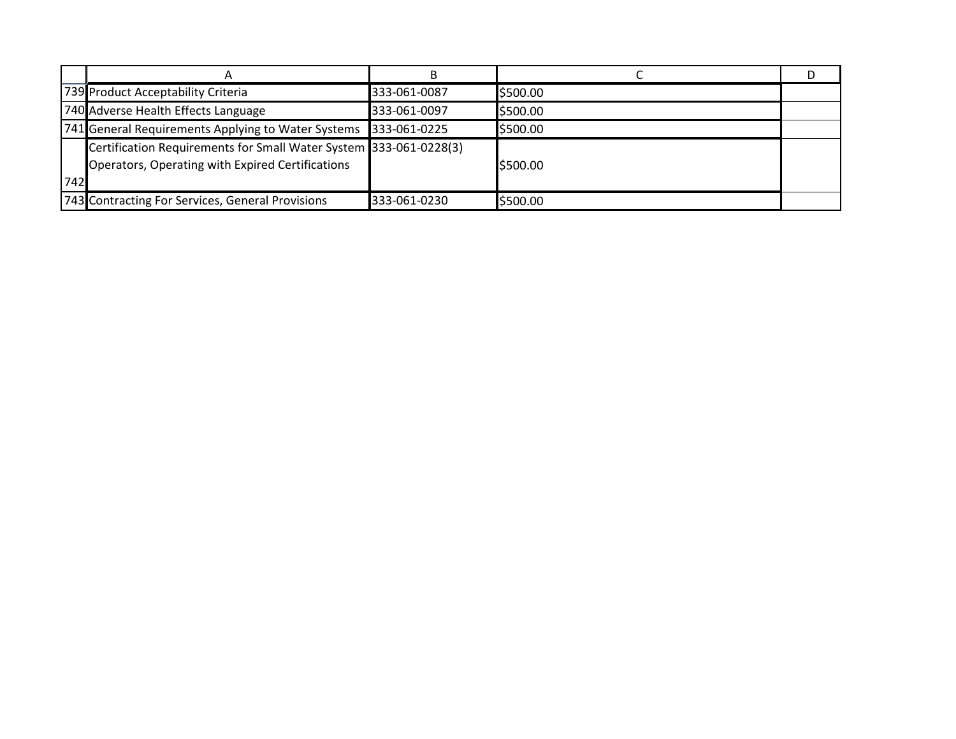|     | 739 Product Acceptability Criteria                                | 333-061-0087 | \$500.00 |  |
|-----|-------------------------------------------------------------------|--------------|----------|--|
|     | 740 Adverse Health Effects Language                               | 333-061-0097 | \$500.00 |  |
|     | 741 General Requirements Applying to Water Systems 333-061-0225   |              | \$500.00 |  |
|     | Certification Requirements for Small Water System 333-061-0228(3) |              |          |  |
|     | Operators, Operating with Expired Certifications                  |              | \$500.00 |  |
| 742 |                                                                   |              |          |  |
|     | 743 Contracting For Services, General Provisions                  | 333-061-0230 | \$500.00 |  |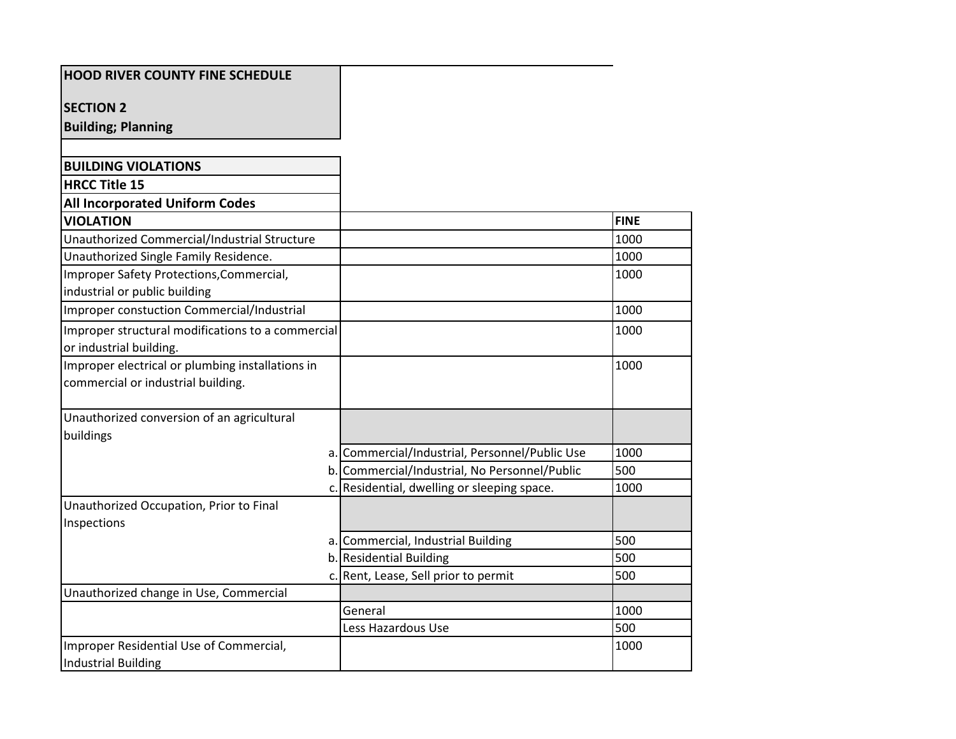| <b>HOOD RIVER COUNTY FINE SCHEDULE</b>            |                                                |             |
|---------------------------------------------------|------------------------------------------------|-------------|
| <b>SECTION 2</b>                                  |                                                |             |
| <b>Building; Planning</b>                         |                                                |             |
|                                                   |                                                |             |
| <b>BUILDING VIOLATIONS</b>                        |                                                |             |
| <b>HRCC Title 15</b>                              |                                                |             |
| <b>All Incorporated Uniform Codes</b>             |                                                |             |
| <b>VIOLATION</b>                                  |                                                | <b>FINE</b> |
| Unauthorized Commercial/Industrial Structure      |                                                | 1000        |
| Unauthorized Single Family Residence.             |                                                | 1000        |
| Improper Safety Protections, Commercial,          |                                                | 1000        |
| industrial or public building                     |                                                |             |
| Improper constuction Commercial/Industrial        |                                                | 1000        |
| Improper structural modifications to a commercial |                                                | 1000        |
| or industrial building.                           |                                                |             |
| Improper electrical or plumbing installations in  |                                                | 1000        |
| commercial or industrial building.                |                                                |             |
|                                                   |                                                |             |
| Unauthorized conversion of an agricultural        |                                                |             |
| buildings                                         |                                                |             |
|                                                   | a. Commercial/Industrial, Personnel/Public Use | 1000        |
|                                                   | b. Commercial/Industrial, No Personnel/Public  | 500         |
|                                                   | c. Residential, dwelling or sleeping space.    | 1000        |
| Unauthorized Occupation, Prior to Final           |                                                |             |
| Inspections                                       |                                                |             |
|                                                   | a. Commercial, Industrial Building             | 500         |
|                                                   | b. Residential Building                        | 500         |
|                                                   | c. Rent, Lease, Sell prior to permit           | 500         |
| Unauthorized change in Use, Commercial            |                                                |             |
|                                                   | General                                        | 1000        |
|                                                   | Less Hazardous Use                             | 500         |
| Improper Residential Use of Commercial,           |                                                | 1000        |
| <b>Industrial Building</b>                        |                                                |             |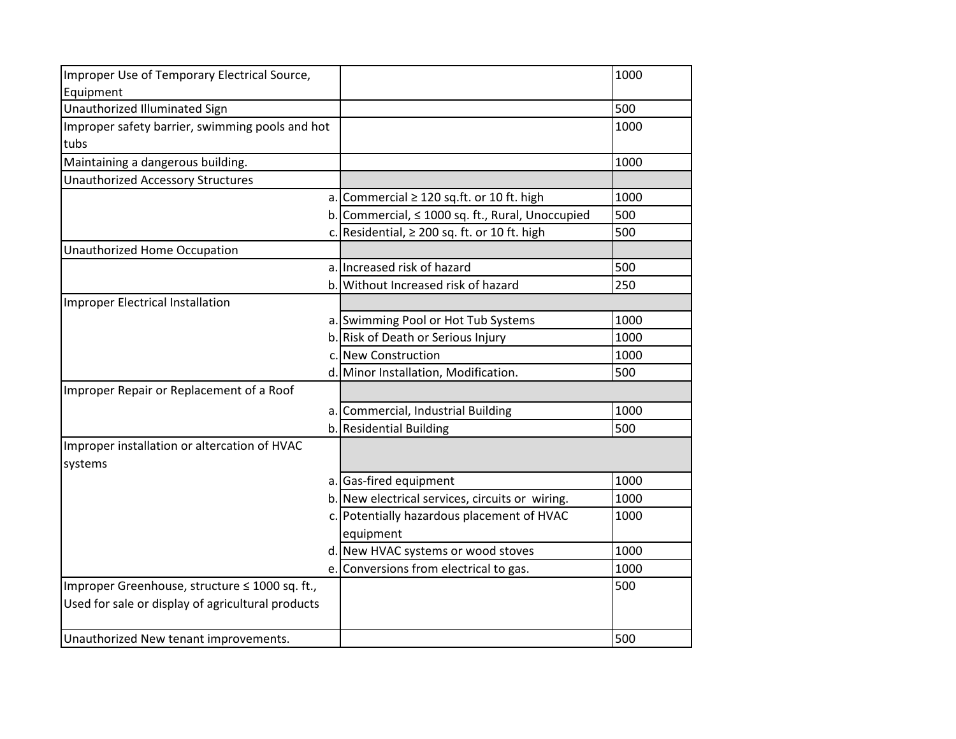| Improper Use of Temporary Electrical Source,      |                                                       | 1000 |
|---------------------------------------------------|-------------------------------------------------------|------|
| Equipment                                         |                                                       |      |
| Unauthorized Illuminated Sign                     |                                                       | 500  |
| Improper safety barrier, swimming pools and hot   |                                                       | 1000 |
| tubs                                              |                                                       |      |
| Maintaining a dangerous building.                 |                                                       | 1000 |
| <b>Unauthorized Accessory Structures</b>          |                                                       |      |
|                                                   | a. Commercial $\geq 120$ sq.ft. or 10 ft. high        | 1000 |
|                                                   | b. Commercial, $\leq 1000$ sq. ft., Rural, Unoccupied | 500  |
|                                                   | c. Residential, $\geq 200$ sq. ft. or 10 ft. high     | 500  |
| Unauthorized Home Occupation                      |                                                       |      |
|                                                   | a. Increased risk of hazard                           | 500  |
|                                                   | b. Without Increased risk of hazard                   | 250  |
| Improper Electrical Installation                  |                                                       |      |
|                                                   | a. Swimming Pool or Hot Tub Systems                   | 1000 |
|                                                   | b. Risk of Death or Serious Injury                    | 1000 |
|                                                   | c. New Construction                                   | 1000 |
|                                                   | d. Minor Installation, Modification.                  | 500  |
| Improper Repair or Replacement of a Roof          |                                                       |      |
|                                                   | a. Commercial, Industrial Building                    | 1000 |
|                                                   | b. Residential Building                               | 500  |
| Improper installation or altercation of HVAC      |                                                       |      |
| systems                                           |                                                       |      |
|                                                   | a. Gas-fired equipment                                | 1000 |
|                                                   | b. New electrical services, circuits or wiring.       | 1000 |
|                                                   | c. Potentially hazardous placement of HVAC            | 1000 |
|                                                   | equipment                                             |      |
|                                                   | d. New HVAC systems or wood stoves                    | 1000 |
|                                                   | e. Conversions from electrical to gas.                | 1000 |
| Improper Greenhouse, structure ≤ 1000 sq. ft.,    |                                                       | 500  |
| Used for sale or display of agricultural products |                                                       |      |
|                                                   |                                                       |      |
| Unauthorized New tenant improvements.             |                                                       | 500  |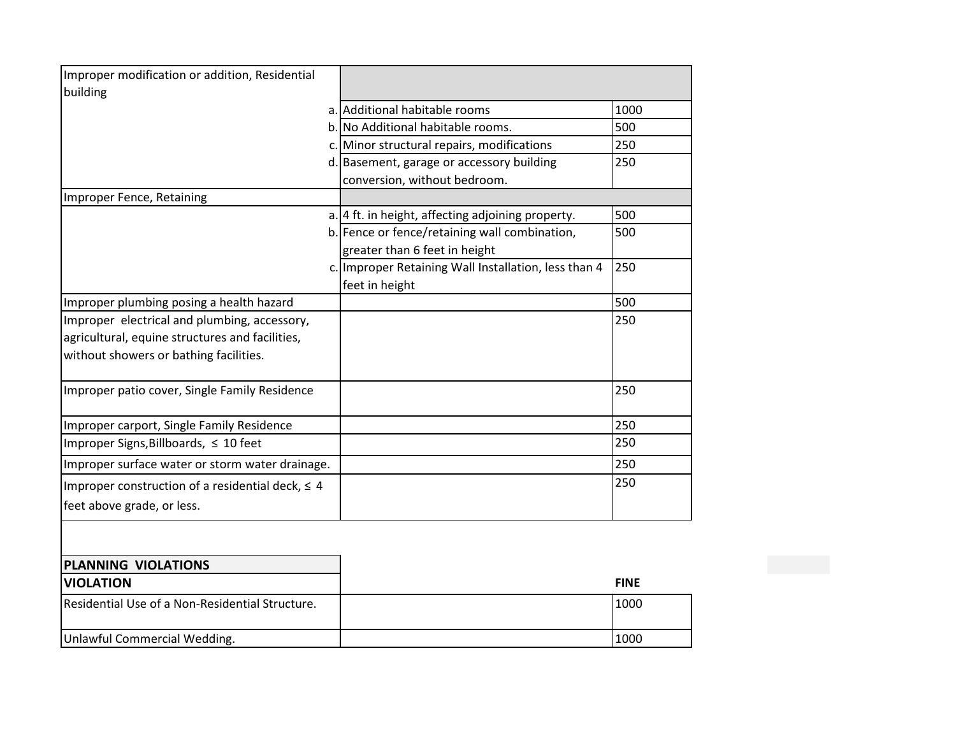| Improper modification or addition, Residential<br>building |                                                      |      |
|------------------------------------------------------------|------------------------------------------------------|------|
|                                                            | a. Additional habitable rooms                        | 1000 |
|                                                            | b. No Additional habitable rooms.                    | 500  |
|                                                            | c. Minor structural repairs, modifications           | 250  |
|                                                            | d. Basement, garage or accessory building            | 250  |
|                                                            | conversion, without bedroom.                         |      |
| Improper Fence, Retaining                                  |                                                      |      |
|                                                            | a. 4 ft. in height, affecting adjoining property.    | 500  |
|                                                            | b. Fence or fence/retaining wall combination,        | 500  |
|                                                            | greater than 6 feet in height                        |      |
|                                                            | c. Improper Retaining Wall Installation, less than 4 | 250  |
|                                                            | feet in height                                       |      |
| Improper plumbing posing a health hazard                   |                                                      | 500  |
| Improper electrical and plumbing, accessory,               |                                                      | 250  |
| agricultural, equine structures and facilities,            |                                                      |      |
| without showers or bathing facilities.                     |                                                      |      |
|                                                            |                                                      |      |
| Improper patio cover, Single Family Residence              |                                                      | 250  |
| Improper carport, Single Family Residence                  |                                                      | 250  |
| Improper Signs, Billboards, $\leq 10$ feet                 |                                                      | 250  |
| Improper surface water or storm water drainage.            |                                                      | 250  |
| Improper construction of a residential deck, $\leq 4$      |                                                      | 250  |
| feet above grade, or less.                                 |                                                      |      |

## **PLANNING VIOLATIONS**

| <u>HEABHTH THULAHUITU</u>                       |             |
|-------------------------------------------------|-------------|
| <b>IVIOLATION</b>                               | <b>FINE</b> |
| Residential Use of a Non-Residential Structure. | 1000        |
| Unlawful Commercial Wedding.                    | 1000        |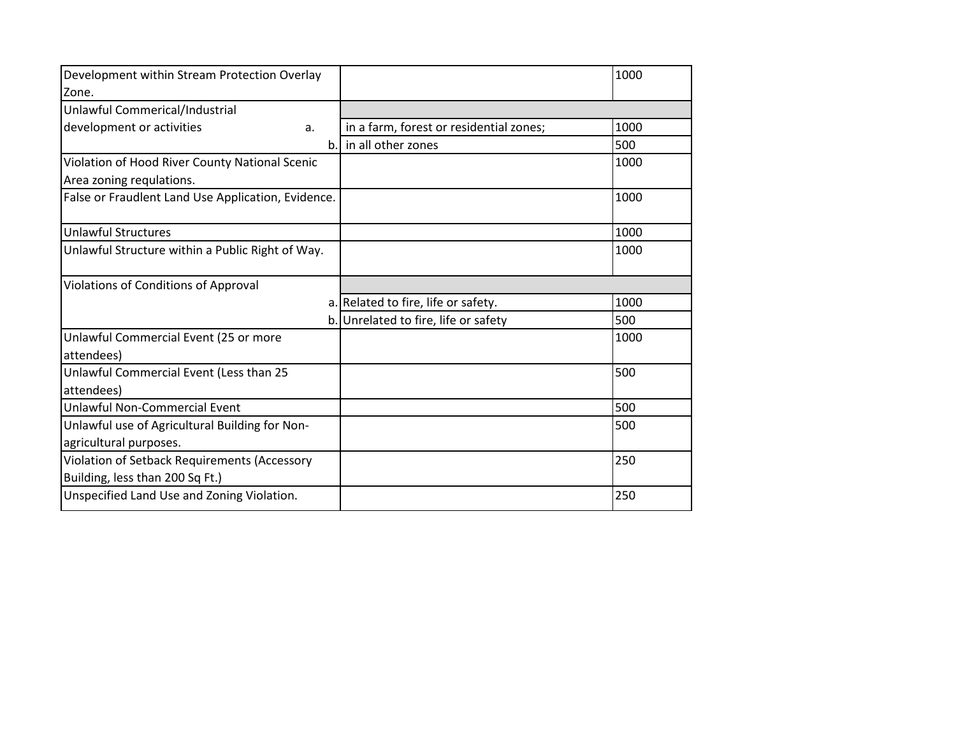| Development within Stream Protection Overlay       |    |                                         | 1000 |
|----------------------------------------------------|----|-----------------------------------------|------|
| Zone.                                              |    |                                         |      |
| Unlawful Commerical/Industrial                     |    |                                         |      |
| development or activities<br>a.                    |    | in a farm, forest or residential zones; | 1000 |
|                                                    | b. | in all other zones                      | 500  |
| Violation of Hood River County National Scenic     |    |                                         | 1000 |
| Area zoning requlations.                           |    |                                         |      |
| False or Fraudlent Land Use Application, Evidence. |    |                                         | 1000 |
| Unlawful Structures                                |    |                                         | 1000 |
| Unlawful Structure within a Public Right of Way.   |    |                                         | 1000 |
| Violations of Conditions of Approval               |    |                                         |      |
|                                                    |    | a. Related to fire, life or safety.     | 1000 |
|                                                    |    | b. Unrelated to fire, life or safety    | 500  |
| Unlawful Commercial Event (25 or more              |    |                                         | 1000 |
| attendees)                                         |    |                                         |      |
| Unlawful Commercial Event (Less than 25            |    |                                         | 500  |
| attendees)                                         |    |                                         |      |
| <b>Unlawful Non-Commercial Event</b>               |    |                                         | 500  |
| Unlawful use of Agricultural Building for Non-     |    |                                         | 500  |
| agricultural purposes.                             |    |                                         |      |
| Violation of Setback Requirements (Accessory       |    |                                         | 250  |
| Building, less than 200 Sq Ft.)                    |    |                                         |      |
| Unspecified Land Use and Zoning Violation.         |    |                                         | 250  |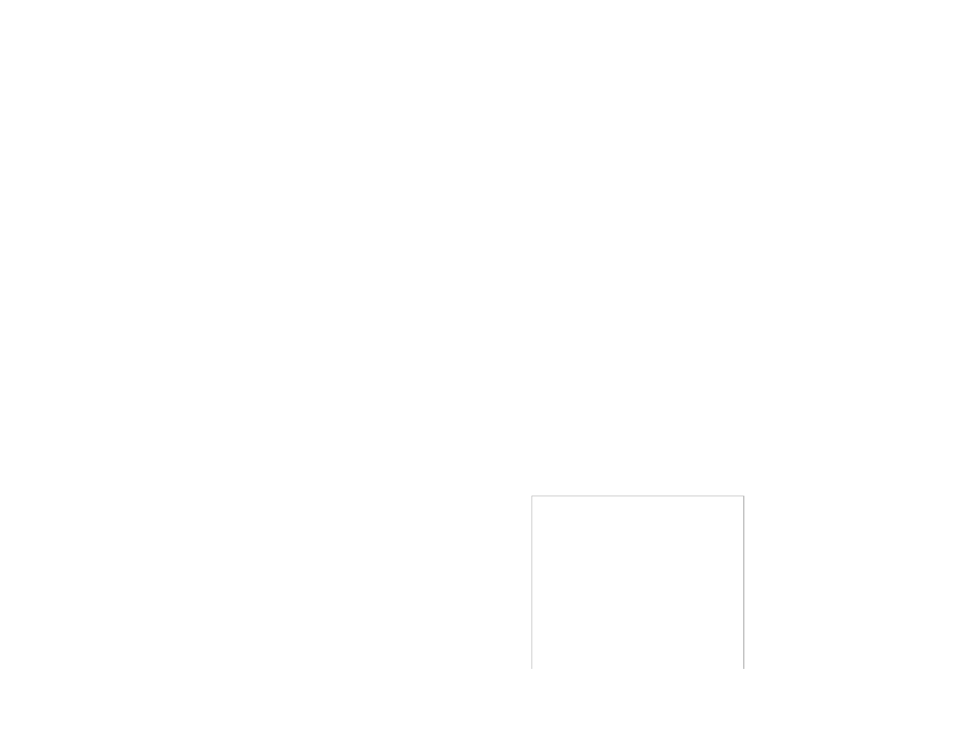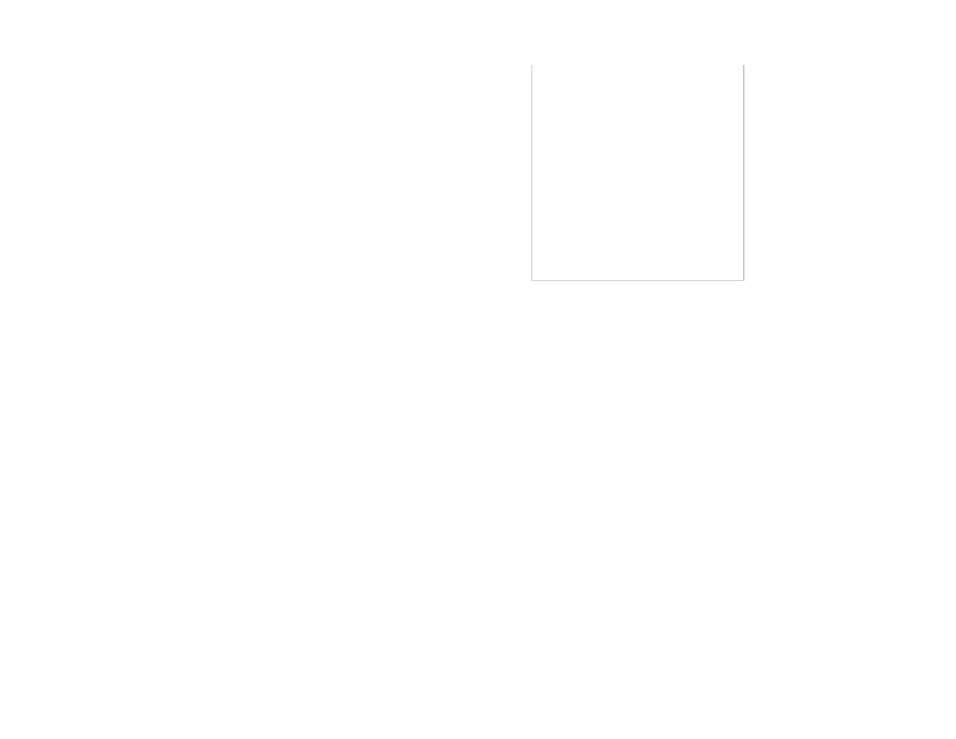